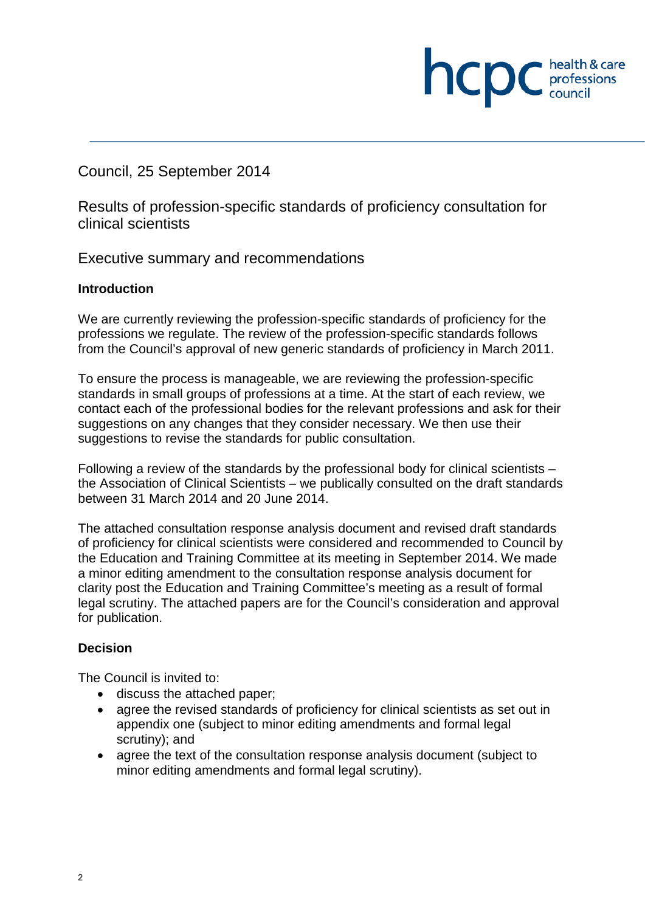**NCDC** *professions* 

Council, 25 September 2014

Results of profession-specific standards of proficiency consultation for clinical scientists

Executive summary and recommendations

#### **Introduction**

We are currently reviewing the profession-specific standards of proficiency for the professions we regulate. The review of the profession-specific standards follows from the Council's approval of new generic standards of proficiency in March 2011.

To ensure the process is manageable, we are reviewing the profession-specific standards in small groups of professions at a time. At the start of each review, we contact each of the professional bodies for the relevant professions and ask for their suggestions on any changes that they consider necessary. We then use their suggestions to revise the standards for public consultation.

Following a review of the standards by the professional body for clinical scientists – the Association of Clinical Scientists – we publically consulted on the draft standards between 31 March 2014 and 20 June 2014.

The attached consultation response analysis document and revised draft standards of proficiency for clinical scientists were considered and recommended to Council by the Education and Training Committee at its meeting in September 2014. We made a minor editing amendment to the consultation response analysis document for clarity post the Education and Training Committee's meeting as a result of formal legal scrutiny. The attached papers are for the Council's consideration and approval for publication.

#### **Decision**

The Council is invited to:

- discuss the attached paper;
- agree the revised standards of proficiency for clinical scientists as set out in appendix one (subject to minor editing amendments and formal legal scrutiny); and
- agree the text of the consultation response analysis document (subject to minor editing amendments and formal legal scrutiny).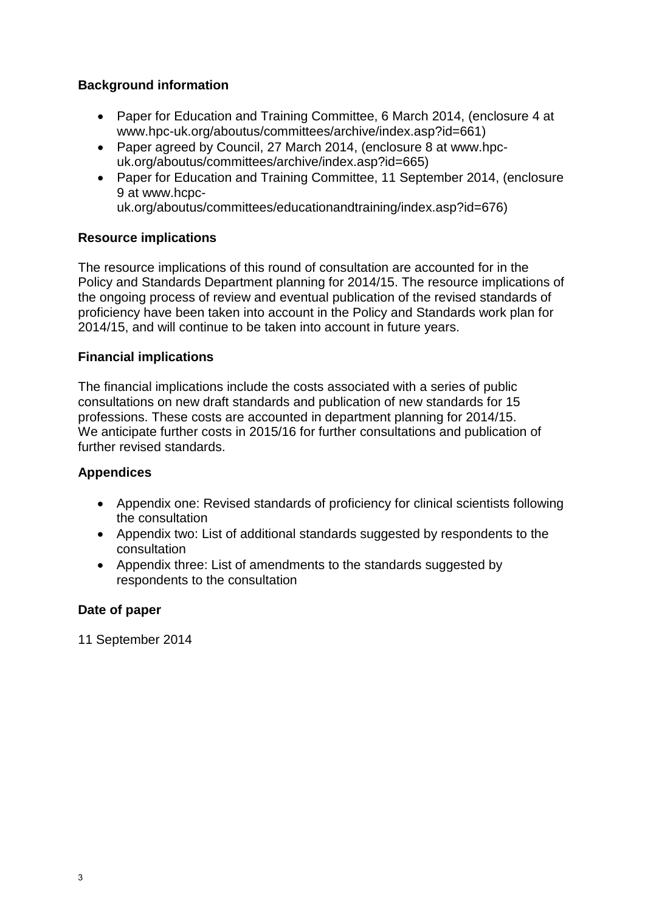#### **Background information**

- Paper for Education and Training Committee, 6 March 2014, (enclosure 4 at www.hpc-uk.org/aboutus/committees/archive/index.asp?id=661)
- Paper agreed by Council, 27 March 2014, (enclosure 8 at www.hpcuk.org/aboutus/committees/archive/index.asp?id=665)
- Paper for Education and Training Committee, 11 September 2014, (enclosure 9 at www.hcpc-

uk.org/aboutus/committees/educationandtraining/index.asp?id=676)

#### **Resource implications**

The resource implications of this round of consultation are accounted for in the Policy and Standards Department planning for 2014/15. The resource implications of the ongoing process of review and eventual publication of the revised standards of proficiency have been taken into account in the Policy and Standards work plan for 2014/15, and will continue to be taken into account in future years.

#### **Financial implications**

The financial implications include the costs associated with a series of public consultations on new draft standards and publication of new standards for 15 professions. These costs are accounted in department planning for 2014/15. We anticipate further costs in 2015/16 for further consultations and publication of further revised standards.

#### **Appendices**

- Appendix one: Revised standards of proficiency for clinical scientists following the consultation
- Appendix two: List of additional standards suggested by respondents to the consultation
- Appendix three: List of amendments to the standards suggested by respondents to the consultation

#### **Date of paper**

11 September 2014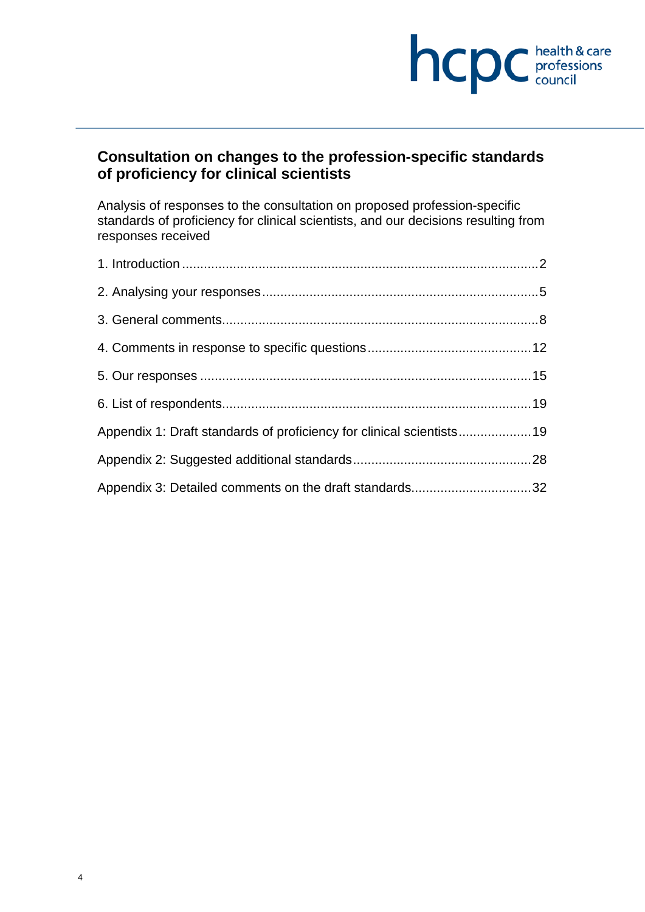# hcpc health & care

## **Consultation on changes to the profession-specific standards of proficiency for clinical scientists**

Analysis of responses to the consultation on proposed profession-specific standards of proficiency for clinical scientists, and our decisions resulting from responses received

| Appendix 1: Draft standards of proficiency for clinical scientists19 |  |
|----------------------------------------------------------------------|--|
|                                                                      |  |
| Appendix 3: Detailed comments on the draft standards32               |  |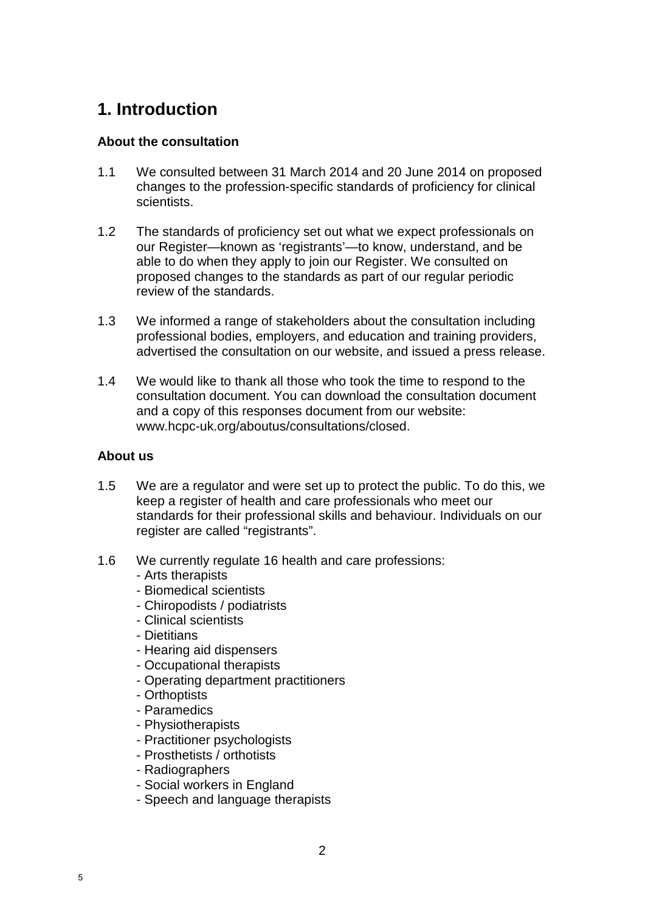# **1. Introduction**

#### **About the consultation**

- 1.1 We consulted between 31 March 2014 and 20 June 2014 on proposed changes to the profession-specific standards of proficiency for clinical scientists.
- 1.2 The standards of proficiency set out what we expect professionals on our Register—known as 'registrants'—to know, understand, and be able to do when they apply to join our Register. We consulted on proposed changes to the standards as part of our regular periodic review of the standards.
- 1.3 We informed a range of stakeholders about the consultation including professional bodies, employers, and education and training providers, advertised the consultation on our website, and issued a press release.
- 1.4 We would like to thank all those who took the time to respond to the consultation document. You can download the consultation document and a copy of this responses document from our website: www.hcpc-uk.org/aboutus/consultations/closed.

#### **About us**

- 1.5 We are a regulator and were set up to protect the public. To do this, we keep a register of health and care professionals who meet our standards for their professional skills and behaviour. Individuals on our register are called "registrants".
- 1.6 We currently regulate 16 health and care professions:
	- Arts therapists
	- Biomedical scientists
	- Chiropodists / podiatrists
	- Clinical scientists
	- Dietitians
	- Hearing aid dispensers
	- Occupational therapists
	- Operating department practitioners
	- Orthoptists
	- Paramedics
	- Physiotherapists
	- Practitioner psychologists
	- Prosthetists / orthotists
	- Radiographers
	- Social workers in England
	- Speech and language therapists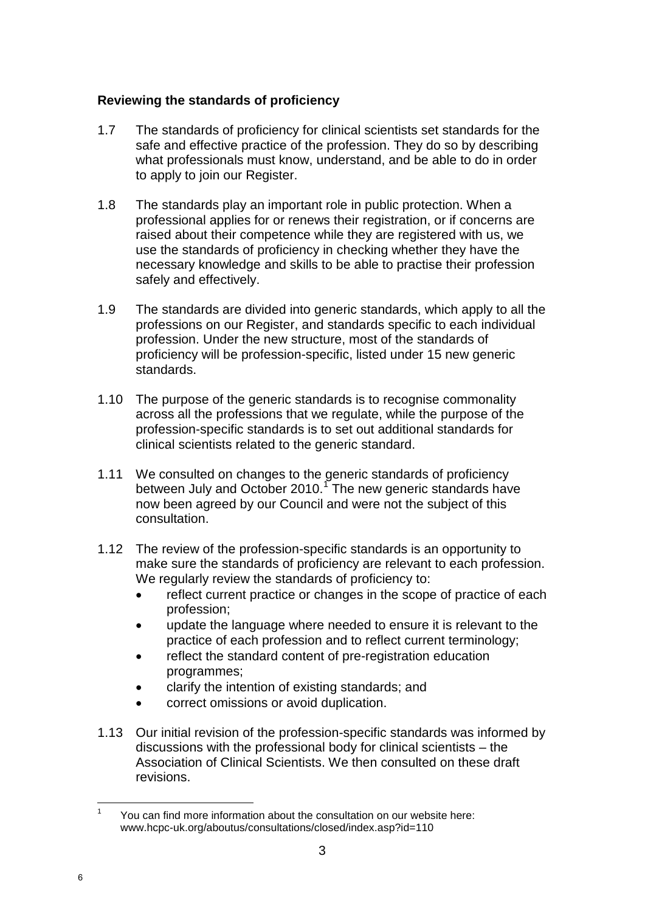#### **Reviewing the standards of proficiency**

- 1.7 The standards of proficiency for clinical scientists set standards for the safe and effective practice of the profession. They do so by describing what professionals must know, understand, and be able to do in order to apply to join our Register.
- 1.8 The standards play an important role in public protection. When a professional applies for or renews their registration, or if concerns are raised about their competence while they are registered with us, we use the standards of proficiency in checking whether they have the necessary knowledge and skills to be able to practise their profession safely and effectively.
- 1.9 The standards are divided into generic standards, which apply to all the professions on our Register, and standards specific to each individual profession. Under the new structure, most of the standards of proficiency will be profession-specific, listed under 15 new generic standards.
- 1.10 The purpose of the generic standards is to recognise commonality across all the professions that we regulate, while the purpose of the profession-specific standards is to set out additional standards for clinical scientists related to the generic standard.
- 1.11 We consulted on changes to the generic standards of proficiency between July and October 2010.<sup>1</sup> The new generic standards have now been agreed by our Council and were not the subject of this consultation.
- 1.12 The review of the profession-specific standards is an opportunity to make sure the standards of proficiency are relevant to each profession. We regularly review the standards of proficiency to:
	- reflect current practice or changes in the scope of practice of each profession;
	- update the language where needed to ensure it is relevant to the practice of each profession and to reflect current terminology;
	- reflect the standard content of pre-registration education programmes;
	- clarify the intention of existing standards; and
	- correct omissions or avoid duplication.
- 1.13 Our initial revision of the profession-specific standards was informed by discussions with the professional body for clinical scientists – the Association of Clinical Scientists. We then consulted on these draft revisions.

 $\mathbf{1}$ <sup>1</sup> You can find more information about the consultation on our website here: www.hcpc-uk.org/aboutus/consultations/closed/index.asp?id=110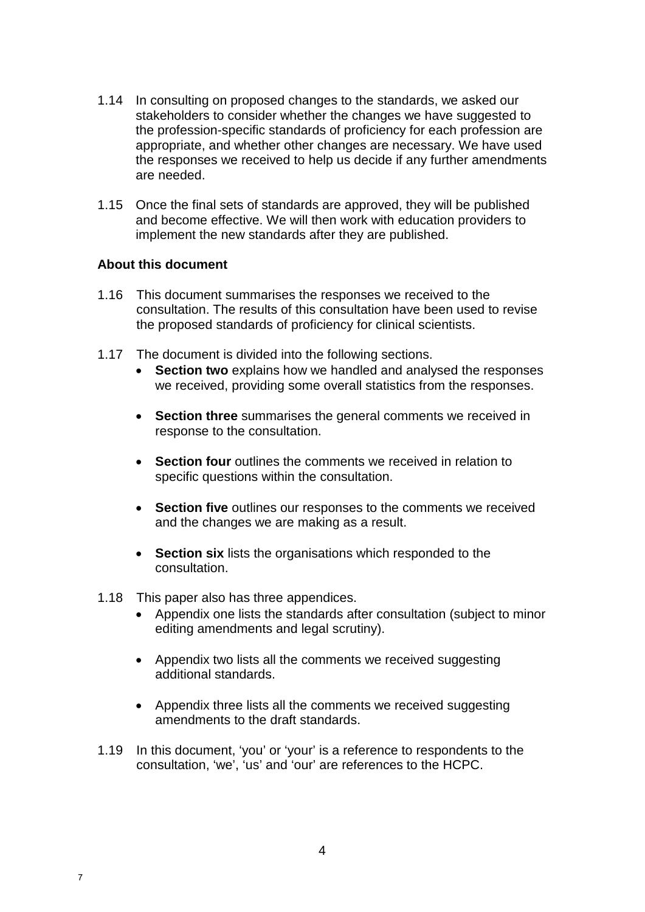- 1.14 In consulting on proposed changes to the standards, we asked our stakeholders to consider whether the changes we have suggested to the profession-specific standards of proficiency for each profession are appropriate, and whether other changes are necessary. We have used the responses we received to help us decide if any further amendments are needed.
- 1.15 Once the final sets of standards are approved, they will be published and become effective. We will then work with education providers to implement the new standards after they are published.

#### **About this document**

- 1.16 This document summarises the responses we received to the consultation. The results of this consultation have been used to revise the proposed standards of proficiency for clinical scientists.
- 1.17 The document is divided into the following sections.
	- **Section two** explains how we handled and analysed the responses we received, providing some overall statistics from the responses.
	- **Section three** summarises the general comments we received in response to the consultation.
	- **Section four** outlines the comments we received in relation to specific questions within the consultation.
	- **Section five** outlines our responses to the comments we received and the changes we are making as a result.
	- **Section six** lists the organisations which responded to the consultation.
- 1.18 This paper also has three appendices.

7

- Appendix one lists the standards after consultation (subject to minor editing amendments and legal scrutiny).
- Appendix two lists all the comments we received suggesting additional standards.
- Appendix three lists all the comments we received suggesting amendments to the draft standards.
- 1.19 In this document, 'you' or 'your' is a reference to respondents to the consultation, 'we', 'us' and 'our' are references to the HCPC.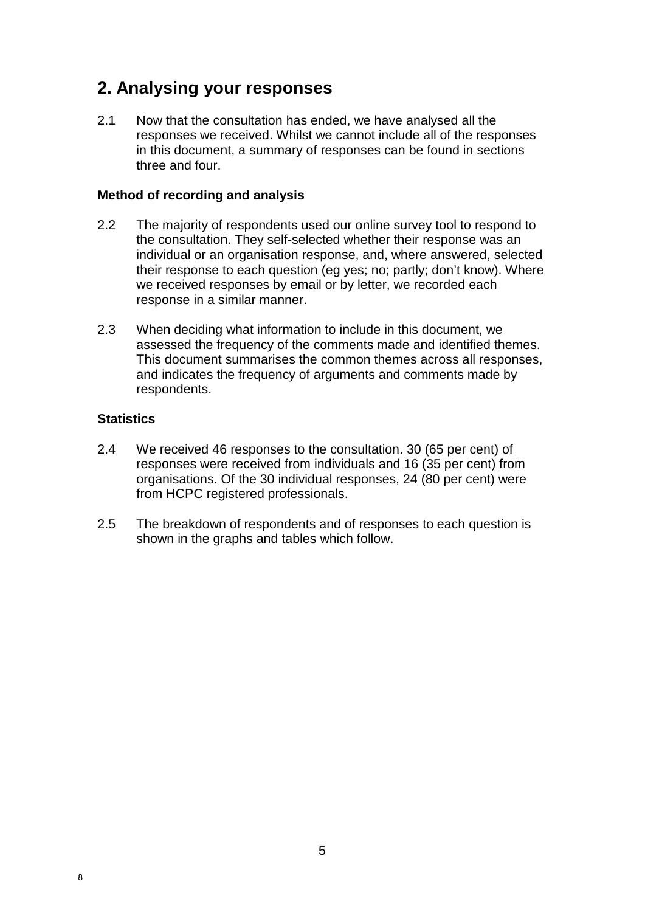# **2. Analysing your responses**

2.1 Now that the consultation has ended, we have analysed all the responses we received. Whilst we cannot include all of the responses in this document, a summary of responses can be found in sections three and four.

#### **Method of recording and analysis**

- 2.2 The majority of respondents used our online survey tool to respond to the consultation. They self-selected whether their response was an individual or an organisation response, and, where answered, selected their response to each question (eg yes; no; partly; don't know). Where we received responses by email or by letter, we recorded each response in a similar manner.
- 2.3 When deciding what information to include in this document, we assessed the frequency of the comments made and identified themes. This document summarises the common themes across all responses, and indicates the frequency of arguments and comments made by respondents.

#### **Statistics**

- 2.4 We received 46 responses to the consultation. 30 (65 per cent) of responses were received from individuals and 16 (35 per cent) from organisations. Of the 30 individual responses, 24 (80 per cent) were from HCPC registered professionals.
- 2.5 The breakdown of respondents and of responses to each question is shown in the graphs and tables which follow.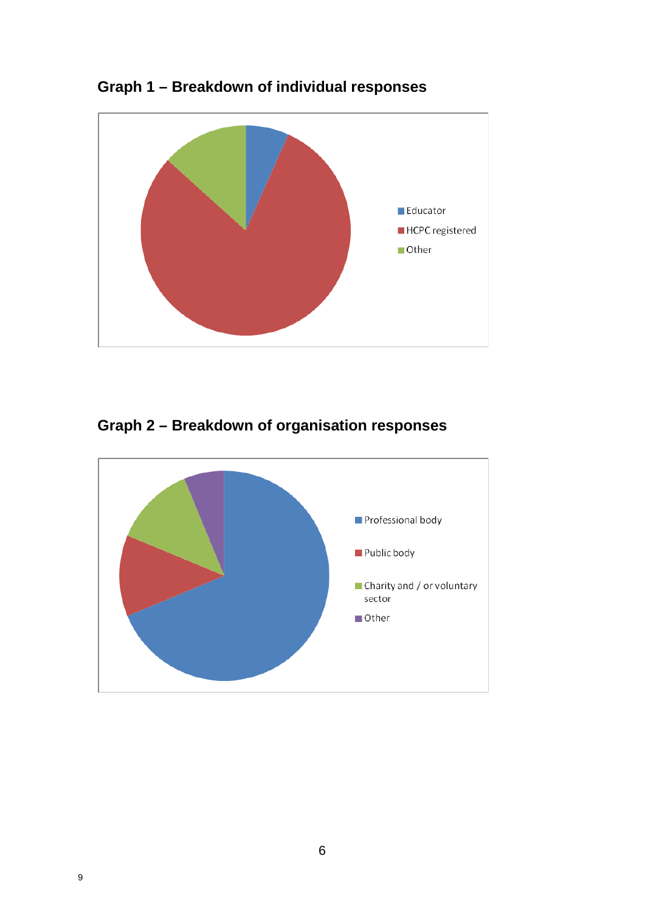

**Graph 1 – Breakdown of individual responses** 

**Graph 2 – Breakdown of organisation responses**

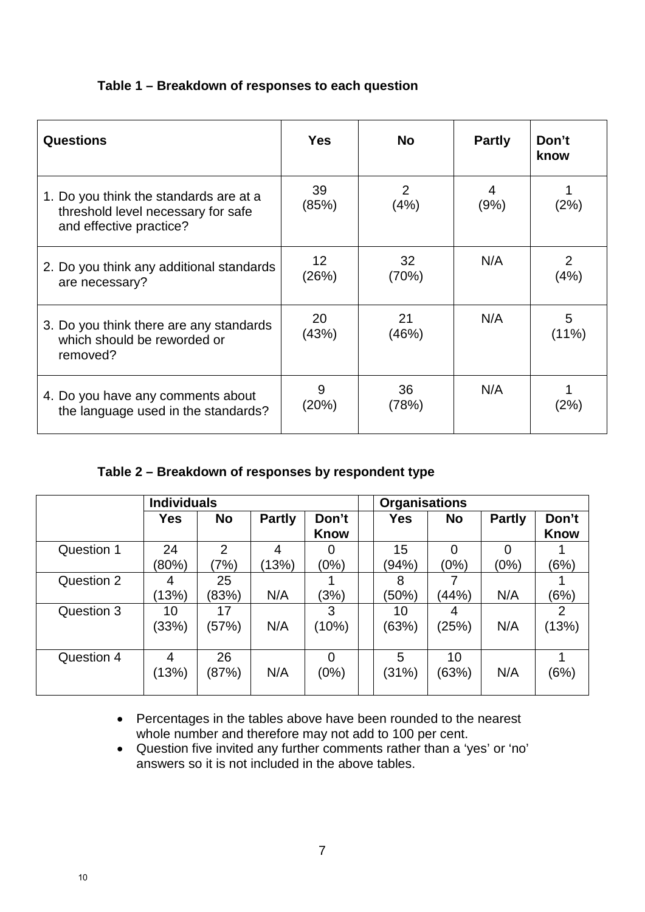| Table 1 – Breakdown of responses to each question |  |  |  |
|---------------------------------------------------|--|--|--|
|---------------------------------------------------|--|--|--|

| <b>Questions</b>                                                                                        | <b>Yes</b>               | <b>No</b>              | <b>Partly</b> | Don't<br>know |
|---------------------------------------------------------------------------------------------------------|--------------------------|------------------------|---------------|---------------|
| 1. Do you think the standards are at a<br>threshold level necessary for safe<br>and effective practice? | 39<br>(85%)              | $\overline{2}$<br>(4%) | 4<br>(9%)     | (2%)          |
| 2. Do you think any additional standards<br>are necessary?                                              | 12 <sub>2</sub><br>(26%) | 32<br>(70%)            | N/A           | 2<br>(4%)     |
| 3. Do you think there are any standards<br>which should be reworded or<br>removed?                      | 20<br>(43%)              | 21<br>(46%)            | N/A           | 5<br>$(11\%)$ |
| 4. Do you have any comments about<br>the language used in the standards?                                | 9<br>(20%)               | 36<br>(78%)            | N/A           | (2%)          |

## **Table 2 – Breakdown of responses by respondent type**

|            | <b>Individuals</b> |                        |               | <b>Organisations</b> |             |             |               |                         |
|------------|--------------------|------------------------|---------------|----------------------|-------------|-------------|---------------|-------------------------|
|            | <b>Yes</b>         | <b>No</b>              | <b>Partly</b> | Don't<br><b>Know</b> | Yes         | <b>No</b>   | <b>Partly</b> | Don't<br><b>Know</b>    |
| Question 1 | 24<br>(80%)        | $\overline{2}$<br>(7%) | 4<br>(13%)    | O)<br>(0%)           | 15<br>(94%) | 0<br>(0%)   | 0<br>(0%)     | (6%)                    |
| Question 2 | 4<br>(13%)         | 25<br>(83%)            | N/A           | (3%)                 | 8<br>(50%)  | (44%)       | N/A           | (6%)                    |
| Question 3 | 10<br>(33%)        | 17<br>(57%)            | N/A           | 3<br>(10%)           | 10<br>(63%) | 4<br>(25%)  | N/A           | $\overline{2}$<br>(13%) |
| Question 4 | 4<br>(13%)         | 26<br>(87%)            | N/A           | 0<br>(0%)            | 5<br>(31%)  | 10<br>(63%) | N/A           | (6%)                    |

- Percentages in the tables above have been rounded to the nearest whole number and therefore may not add to 100 per cent.
- Question five invited any further comments rather than a 'yes' or 'no' answers so it is not included in the above tables.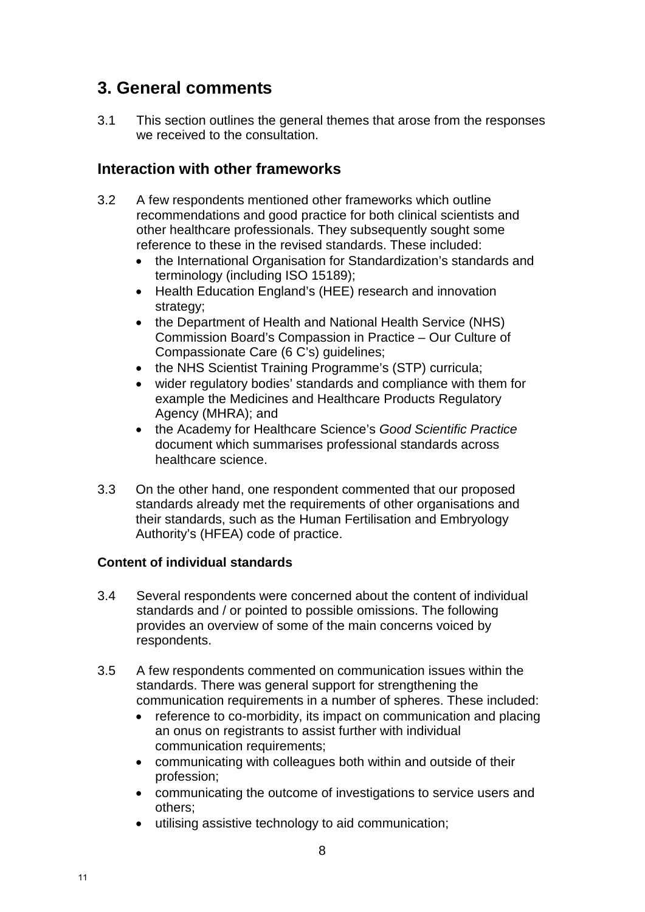# **3. General comments**

3.1 This section outlines the general themes that arose from the responses we received to the consultation.

## **Interaction with other frameworks**

- 3.2 A few respondents mentioned other frameworks which outline recommendations and good practice for both clinical scientists and other healthcare professionals. They subsequently sought some reference to these in the revised standards. These included:
	- the International Organisation for Standardization's standards and terminology (including ISO 15189);
	- Health Education England's (HEE) research and innovation strategy:
	- the Department of Health and National Health Service (NHS) Commission Board's Compassion in Practice – Our Culture of Compassionate Care (6 C's) guidelines;
	- the NHS Scientist Training Programme's (STP) curricula;
	- wider regulatory bodies' standards and compliance with them for example the Medicines and Healthcare Products Regulatory Agency (MHRA); and
	- the Academy for Healthcare Science's *Good Scientific Practice*  document which summarises professional standards across healthcare science.
- 3.3 On the other hand, one respondent commented that our proposed standards already met the requirements of other organisations and their standards, such as the Human Fertilisation and Embryology Authority's (HFEA) code of practice.

#### **Content of individual standards**

- 3.4 Several respondents were concerned about the content of individual standards and / or pointed to possible omissions. The following provides an overview of some of the main concerns voiced by respondents.
- 3.5 A few respondents commented on communication issues within the standards. There was general support for strengthening the communication requirements in a number of spheres. These included:
	- reference to co-morbidity, its impact on communication and placing an onus on registrants to assist further with individual communication requirements;
	- communicating with colleagues both within and outside of their profession;
	- communicating the outcome of investigations to service users and others;
	- utilising assistive technology to aid communication;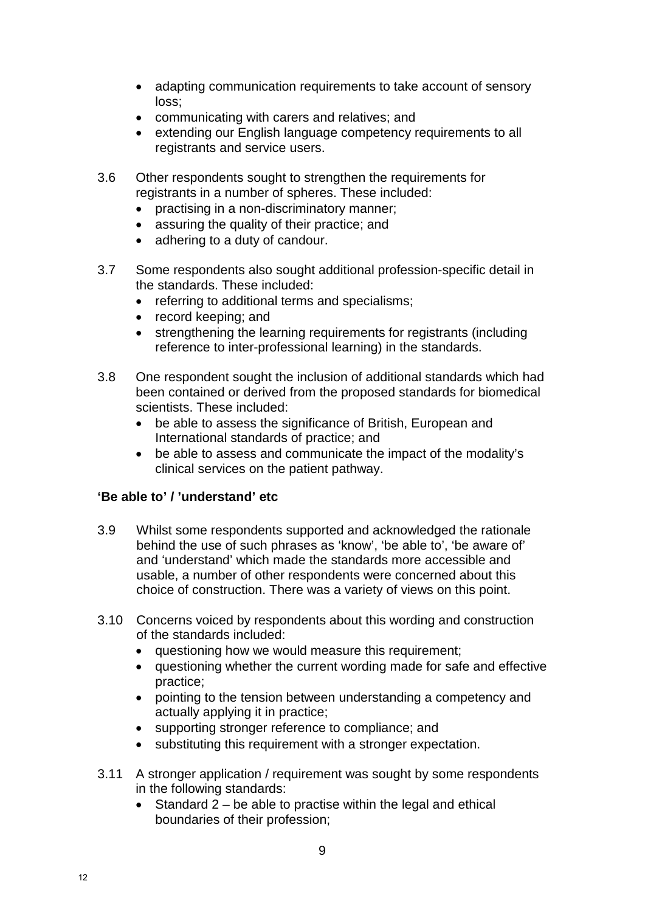- adapting communication requirements to take account of sensory loss;
- communicating with carers and relatives; and
- extending our English language competency requirements to all registrants and service users.
- 3.6 Other respondents sought to strengthen the requirements for registrants in a number of spheres. These included:
	- practising in a non-discriminatory manner;
	- assuring the quality of their practice; and
	- adhering to a duty of candour.
- 3.7 Some respondents also sought additional profession-specific detail in the standards. These included:
	- referring to additional terms and specialisms;
	- record keeping; and
	- strengthening the learning requirements for registrants (including reference to inter-professional learning) in the standards.
- 3.8 One respondent sought the inclusion of additional standards which had been contained or derived from the proposed standards for biomedical scientists. These included:
	- be able to assess the significance of British, European and International standards of practice; and
	- be able to assess and communicate the impact of the modality's clinical services on the patient pathway.

#### **'Be able to' / 'understand' etc**

- 3.9 Whilst some respondents supported and acknowledged the rationale behind the use of such phrases as 'know', 'be able to', 'be aware of' and 'understand' which made the standards more accessible and usable, a number of other respondents were concerned about this choice of construction. There was a variety of views on this point.
- 3.10 Concerns voiced by respondents about this wording and construction of the standards included:
	- questioning how we would measure this requirement;
	- questioning whether the current wording made for safe and effective practice;
	- pointing to the tension between understanding a competency and actually applying it in practice;
	- supporting stronger reference to compliance; and
	- substituting this requirement with a stronger expectation.
- 3.11 A stronger application / requirement was sought by some respondents in the following standards:
	- Standard 2 be able to practise within the legal and ethical boundaries of their profession;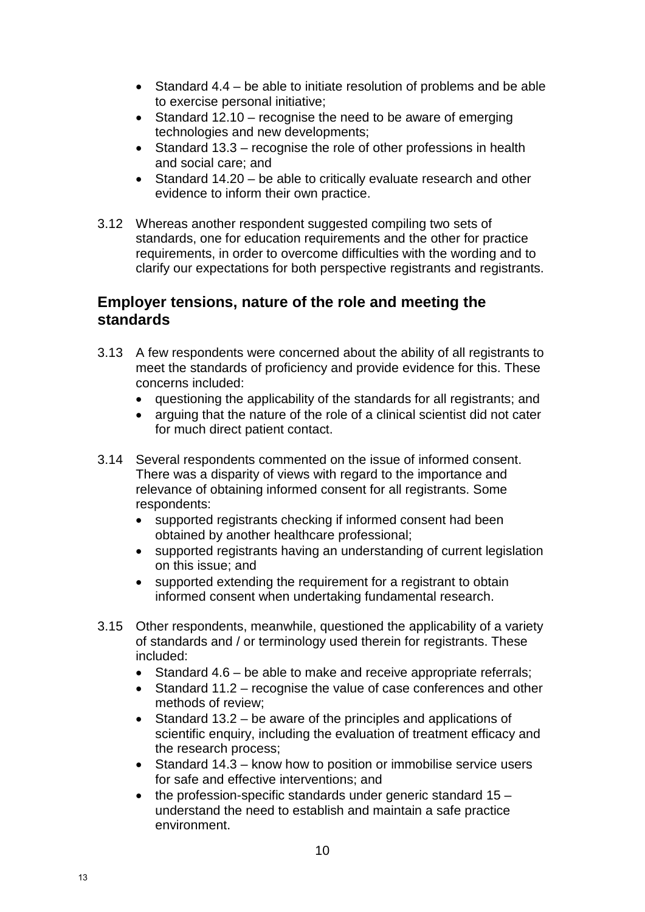- Standard 4.4 be able to initiate resolution of problems and be able to exercise personal initiative;
- Standard 12.10 recognise the need to be aware of emerging technologies and new developments;
- Standard 13.3 recognise the role of other professions in health and social care; and
- Standard 14.20 be able to critically evaluate research and other evidence to inform their own practice.
- 3.12 Whereas another respondent suggested compiling two sets of standards, one for education requirements and the other for practice requirements, in order to overcome difficulties with the wording and to clarify our expectations for both perspective registrants and registrants.

## **Employer tensions, nature of the role and meeting the standards**

- 3.13 A few respondents were concerned about the ability of all registrants to meet the standards of proficiency and provide evidence for this. These concerns included:
	- questioning the applicability of the standards for all registrants; and
	- arguing that the nature of the role of a clinical scientist did not cater for much direct patient contact.
- 3.14 Several respondents commented on the issue of informed consent. There was a disparity of views with regard to the importance and relevance of obtaining informed consent for all registrants. Some respondents:
	- supported registrants checking if informed consent had been obtained by another healthcare professional;
	- supported registrants having an understanding of current legislation on this issue; and
	- supported extending the requirement for a registrant to obtain informed consent when undertaking fundamental research.
- 3.15 Other respondents, meanwhile, questioned the applicability of a variety of standards and / or terminology used therein for registrants. These included:
	- Standard 4.6 be able to make and receive appropriate referrals;
	- Standard 11.2 recognise the value of case conferences and other methods of review;
	- Standard 13.2 be aware of the principles and applications of scientific enquiry, including the evaluation of treatment efficacy and the research process;
	- Standard 14.3 know how to position or immobilise service users for safe and effective interventions; and
	- $\bullet$  the profession-specific standards under generic standard 15 understand the need to establish and maintain a safe practice environment.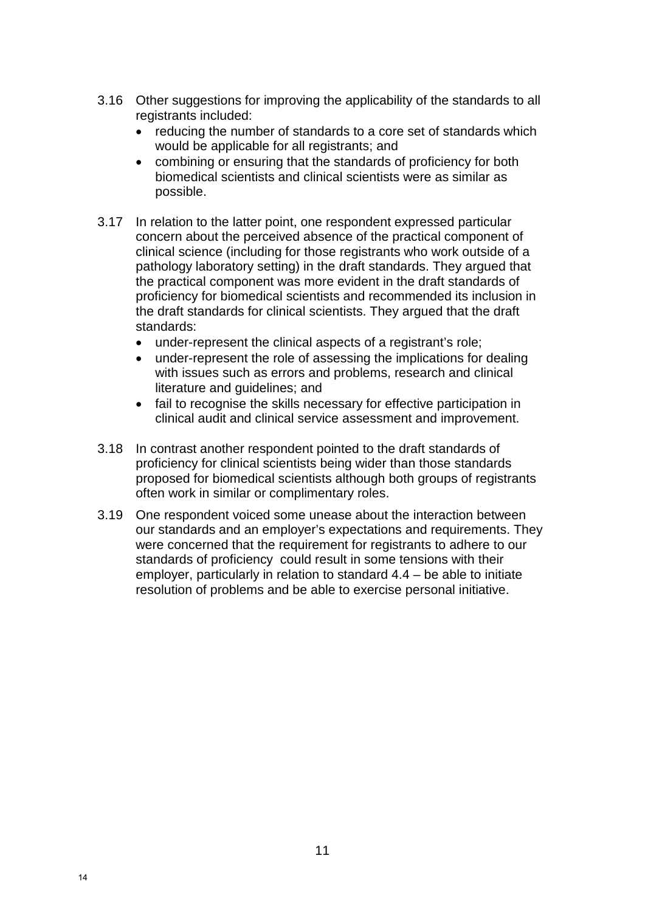- 3.16 Other suggestions for improving the applicability of the standards to all registrants included:
	- reducing the number of standards to a core set of standards which would be applicable for all registrants; and
	- combining or ensuring that the standards of proficiency for both biomedical scientists and clinical scientists were as similar as possible.
- 3.17 In relation to the latter point, one respondent expressed particular concern about the perceived absence of the practical component of clinical science (including for those registrants who work outside of a pathology laboratory setting) in the draft standards. They argued that the practical component was more evident in the draft standards of proficiency for biomedical scientists and recommended its inclusion in the draft standards for clinical scientists. They argued that the draft standards:
	- under-represent the clinical aspects of a registrant's role;
	- under-represent the role of assessing the implications for dealing with issues such as errors and problems, research and clinical literature and guidelines; and
	- fail to recognise the skills necessary for effective participation in clinical audit and clinical service assessment and improvement.
- 3.18 In contrast another respondent pointed to the draft standards of proficiency for clinical scientists being wider than those standards proposed for biomedical scientists although both groups of registrants often work in similar or complimentary roles.
- 3.19 One respondent voiced some unease about the interaction between our standards and an employer's expectations and requirements. They were concerned that the requirement for registrants to adhere to our standards of proficiency could result in some tensions with their employer, particularly in relation to standard 4.4 – be able to initiate resolution of problems and be able to exercise personal initiative.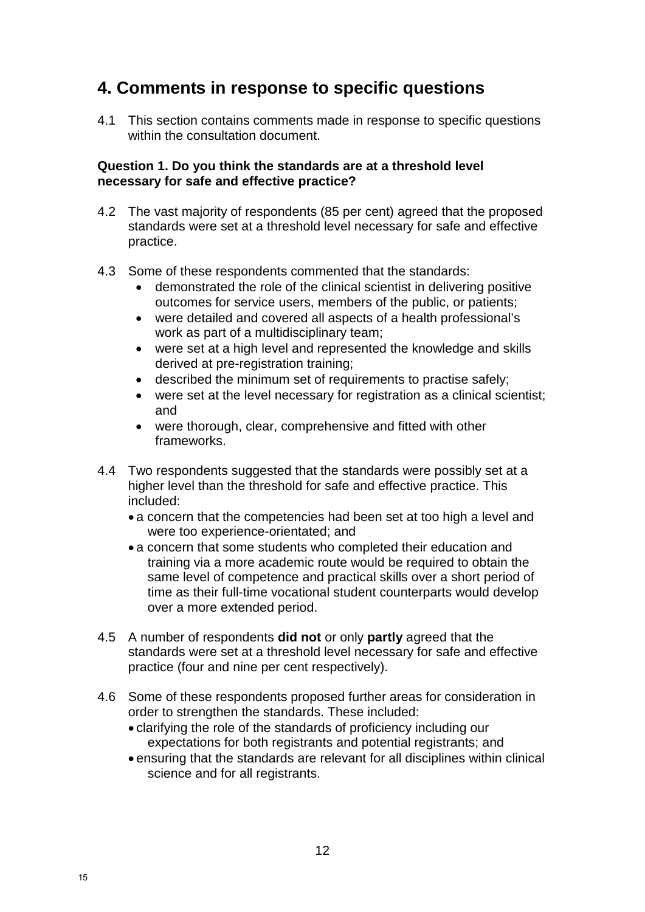# **4. Comments in response to specific questions**

4.1 This section contains comments made in response to specific questions within the consultation document.

#### **Question 1. Do you think the standards are at a threshold level necessary for safe and effective practice?**

- 4.2 The vast majority of respondents (85 per cent) agreed that the proposed standards were set at a threshold level necessary for safe and effective practice.
- 4.3 Some of these respondents commented that the standards:
	- demonstrated the role of the clinical scientist in delivering positive outcomes for service users, members of the public, or patients;
	- were detailed and covered all aspects of a health professional's work as part of a multidisciplinary team;
	- were set at a high level and represented the knowledge and skills derived at pre-registration training;
	- described the minimum set of requirements to practise safely;
	- were set at the level necessary for registration as a clinical scientist: and
	- were thorough, clear, comprehensive and fitted with other frameworks.
- 4.4 Two respondents suggested that the standards were possibly set at a higher level than the threshold for safe and effective practice. This included:
	- a concern that the competencies had been set at too high a level and were too experience-orientated; and
	- a concern that some students who completed their education and training via a more academic route would be required to obtain the same level of competence and practical skills over a short period of time as their full-time vocational student counterparts would develop over a more extended period.
- 4.5 A number of respondents **did not** or only **partly** agreed that the standards were set at a threshold level necessary for safe and effective practice (four and nine per cent respectively).
- 4.6 Some of these respondents proposed further areas for consideration in order to strengthen the standards. These included:
	- clarifying the role of the standards of proficiency including our expectations for both registrants and potential registrants; and
	- ensuring that the standards are relevant for all disciplines within clinical science and for all registrants.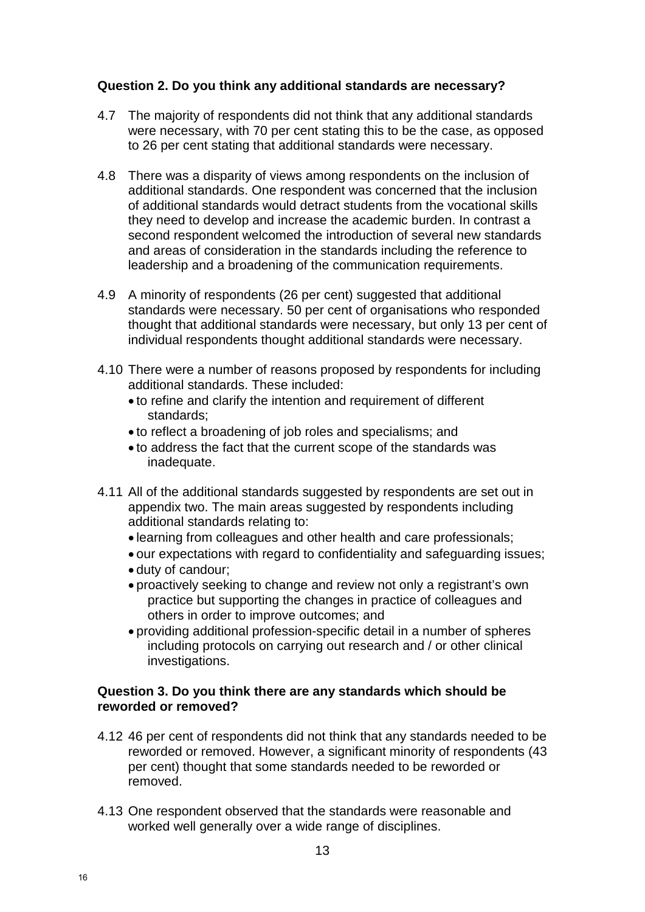#### **Question 2. Do you think any additional standards are necessary?**

- 4.7 The majority of respondents did not think that any additional standards were necessary, with 70 per cent stating this to be the case, as opposed to 26 per cent stating that additional standards were necessary.
- 4.8 There was a disparity of views among respondents on the inclusion of additional standards. One respondent was concerned that the inclusion of additional standards would detract students from the vocational skills they need to develop and increase the academic burden. In contrast a second respondent welcomed the introduction of several new standards and areas of consideration in the standards including the reference to leadership and a broadening of the communication requirements.
- 4.9 A minority of respondents (26 per cent) suggested that additional standards were necessary. 50 per cent of organisations who responded thought that additional standards were necessary, but only 13 per cent of individual respondents thought additional standards were necessary.
- 4.10 There were a number of reasons proposed by respondents for including additional standards. These included:
	- to refine and clarify the intention and requirement of different standards;
	- to reflect a broadening of job roles and specialisms; and
	- to address the fact that the current scope of the standards was inadequate.
- 4.11 All of the additional standards suggested by respondents are set out in appendix two. The main areas suggested by respondents including additional standards relating to:
	- learning from colleagues and other health and care professionals;
	- our expectations with regard to confidentiality and safeguarding issues;
	- duty of candour;
	- proactively seeking to change and review not only a registrant's own practice but supporting the changes in practice of colleagues and others in order to improve outcomes; and
	- providing additional profession-specific detail in a number of spheres including protocols on carrying out research and / or other clinical investigations.

#### **Question 3. Do you think there are any standards which should be reworded or removed?**

- 4.12 46 per cent of respondents did not think that any standards needed to be reworded or removed. However, a significant minority of respondents (43 per cent) thought that some standards needed to be reworded or removed.
- 4.13 One respondent observed that the standards were reasonable and worked well generally over a wide range of disciplines.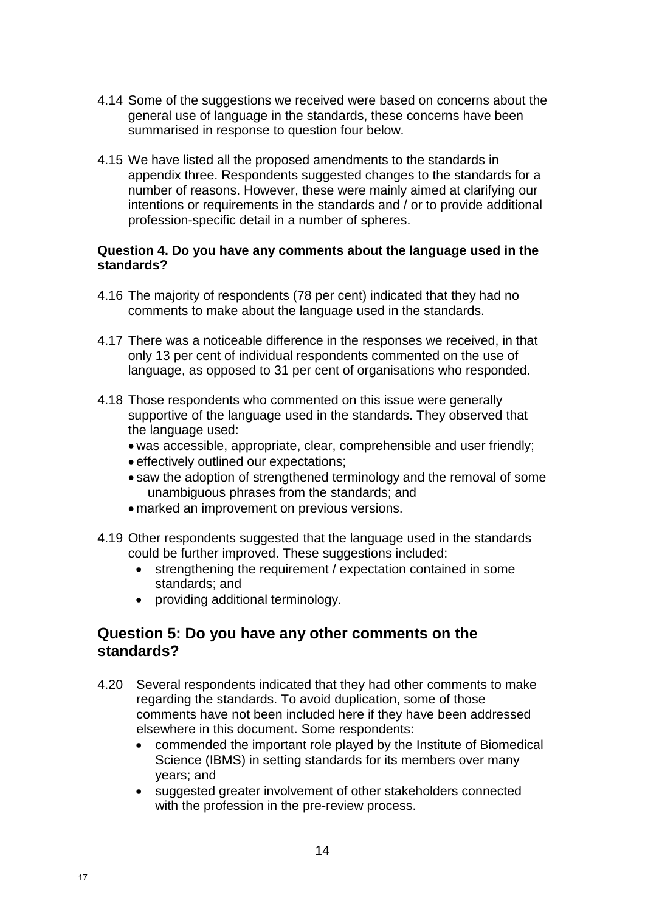- 4.14 Some of the suggestions we received were based on concerns about the general use of language in the standards, these concerns have been summarised in response to question four below.
- 4.15 We have listed all the proposed amendments to the standards in appendix three. Respondents suggested changes to the standards for a number of reasons. However, these were mainly aimed at clarifying our intentions or requirements in the standards and / or to provide additional profession-specific detail in a number of spheres.

#### **Question 4. Do you have any comments about the language used in the standards?**

- 4.16 The majority of respondents (78 per cent) indicated that they had no comments to make about the language used in the standards.
- 4.17 There was a noticeable difference in the responses we received, in that only 13 per cent of individual respondents commented on the use of language, as opposed to 31 per cent of organisations who responded.
- 4.18 Those respondents who commented on this issue were generally supportive of the language used in the standards. They observed that the language used:
	- was accessible, appropriate, clear, comprehensible and user friendly;
	- effectively outlined our expectations;
	- saw the adoption of strengthened terminology and the removal of some unambiguous phrases from the standards; and
	- marked an improvement on previous versions.
- 4.19 Other respondents suggested that the language used in the standards could be further improved. These suggestions included:
	- strengthening the requirement / expectation contained in some standards; and
	- providing additional terminology.

### **Question 5: Do you have any other comments on the standards?**

- 4.20 Several respondents indicated that they had other comments to make regarding the standards. To avoid duplication, some of those comments have not been included here if they have been addressed elsewhere in this document. Some respondents:
	- commended the important role played by the Institute of Biomedical Science (IBMS) in setting standards for its members over many years; and
	- suggested greater involvement of other stakeholders connected with the profession in the pre-review process.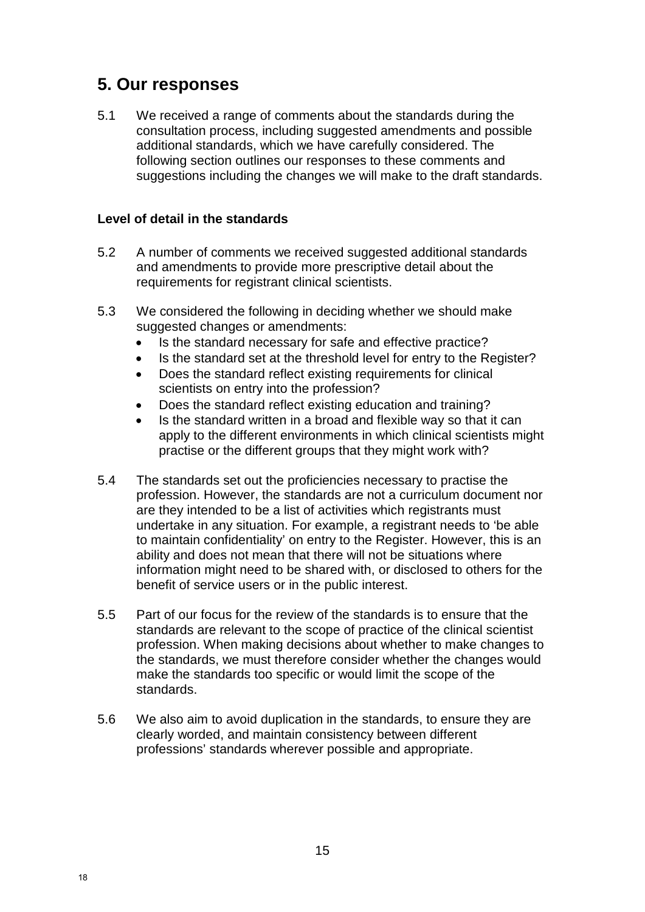# **5. Our responses**

5.1 We received a range of comments about the standards during the consultation process, including suggested amendments and possible additional standards, which we have carefully considered. The following section outlines our responses to these comments and suggestions including the changes we will make to the draft standards.

#### **Level of detail in the standards**

- 5.2 A number of comments we received suggested additional standards and amendments to provide more prescriptive detail about the requirements for registrant clinical scientists.
- 5.3 We considered the following in deciding whether we should make suggested changes or amendments:
	- Is the standard necessary for safe and effective practice?
	- Is the standard set at the threshold level for entry to the Register?
	- Does the standard reflect existing requirements for clinical scientists on entry into the profession?
	- Does the standard reflect existing education and training?
	- Is the standard written in a broad and flexible way so that it can apply to the different environments in which clinical scientists might practise or the different groups that they might work with?
- 5.4 The standards set out the proficiencies necessary to practise the profession. However, the standards are not a curriculum document nor are they intended to be a list of activities which registrants must undertake in any situation. For example, a registrant needs to 'be able to maintain confidentiality' on entry to the Register. However, this is an ability and does not mean that there will not be situations where information might need to be shared with, or disclosed to others for the benefit of service users or in the public interest.
- 5.5 Part of our focus for the review of the standards is to ensure that the standards are relevant to the scope of practice of the clinical scientist profession. When making decisions about whether to make changes to the standards, we must therefore consider whether the changes would make the standards too specific or would limit the scope of the standards.
- 5.6 We also aim to avoid duplication in the standards, to ensure they are clearly worded, and maintain consistency between different professions' standards wherever possible and appropriate.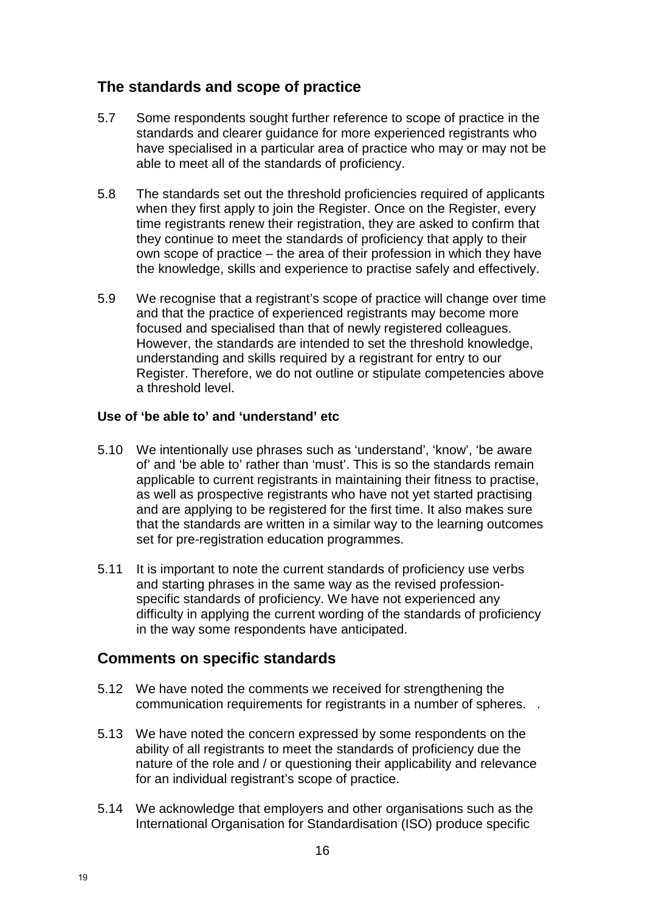## **The standards and scope of practice**

- 5.7 Some respondents sought further reference to scope of practice in the standards and clearer guidance for more experienced registrants who have specialised in a particular area of practice who may or may not be able to meet all of the standards of proficiency.
- 5.8 The standards set out the threshold proficiencies required of applicants when they first apply to join the Register. Once on the Register, every time registrants renew their registration, they are asked to confirm that they continue to meet the standards of proficiency that apply to their own scope of practice – the area of their profession in which they have the knowledge, skills and experience to practise safely and effectively.
- 5.9 We recognise that a registrant's scope of practice will change over time and that the practice of experienced registrants may become more focused and specialised than that of newly registered colleagues. However, the standards are intended to set the threshold knowledge, understanding and skills required by a registrant for entry to our Register. Therefore, we do not outline or stipulate competencies above a threshold level.

#### **Use of 'be able to' and 'understand' etc**

- 5.10 We intentionally use phrases such as 'understand', 'know', 'be aware of' and 'be able to' rather than 'must'. This is so the standards remain applicable to current registrants in maintaining their fitness to practise, as well as prospective registrants who have not yet started practising and are applying to be registered for the first time. It also makes sure that the standards are written in a similar way to the learning outcomes set for pre-registration education programmes.
- 5.11 It is important to note the current standards of proficiency use verbs and starting phrases in the same way as the revised professionspecific standards of proficiency. We have not experienced any difficulty in applying the current wording of the standards of proficiency in the way some respondents have anticipated.

## **Comments on specific standards**

- 5.12 We have noted the comments we received for strengthening the communication requirements for registrants in a number of spheres. .
- 5.13 We have noted the concern expressed by some respondents on the ability of all registrants to meet the standards of proficiency due the nature of the role and / or questioning their applicability and relevance for an individual registrant's scope of practice.
- 5.14 We acknowledge that employers and other organisations such as the International Organisation for Standardisation (ISO) produce specific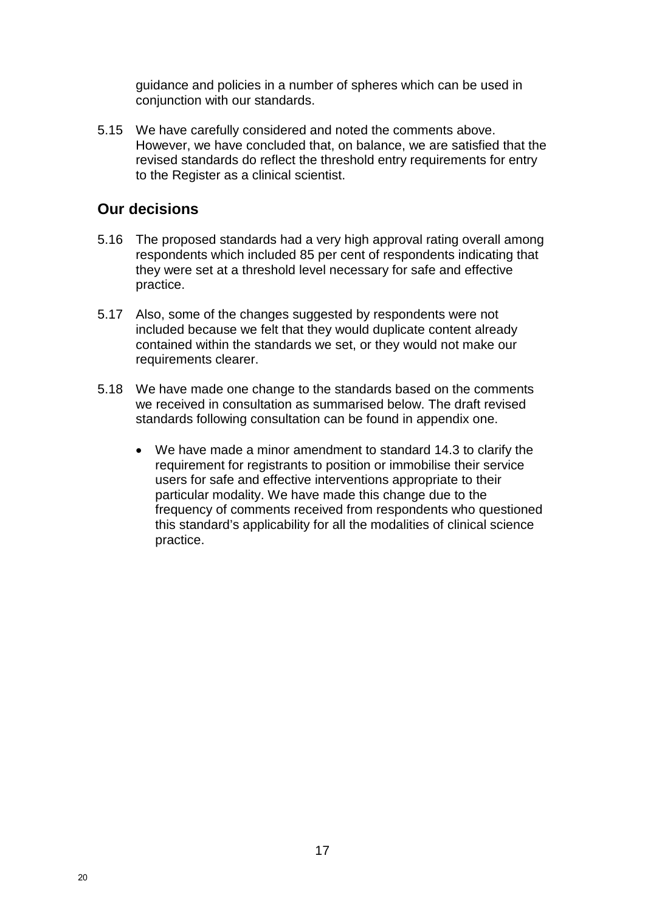guidance and policies in a number of spheres which can be used in conjunction with our standards.

5.15 We have carefully considered and noted the comments above. However, we have concluded that, on balance, we are satisfied that the revised standards do reflect the threshold entry requirements for entry to the Register as a clinical scientist.

## **Our decisions**

- 5.16 The proposed standards had a very high approval rating overall among respondents which included 85 per cent of respondents indicating that they were set at a threshold level necessary for safe and effective practice.
- 5.17 Also, some of the changes suggested by respondents were not included because we felt that they would duplicate content already contained within the standards we set, or they would not make our requirements clearer.
- 5.18 We have made one change to the standards based on the comments we received in consultation as summarised below. The draft revised standards following consultation can be found in appendix one.
	- We have made a minor amendment to standard 14.3 to clarify the requirement for registrants to position or immobilise their service users for safe and effective interventions appropriate to their particular modality. We have made this change due to the frequency of comments received from respondents who questioned this standard's applicability for all the modalities of clinical science practice.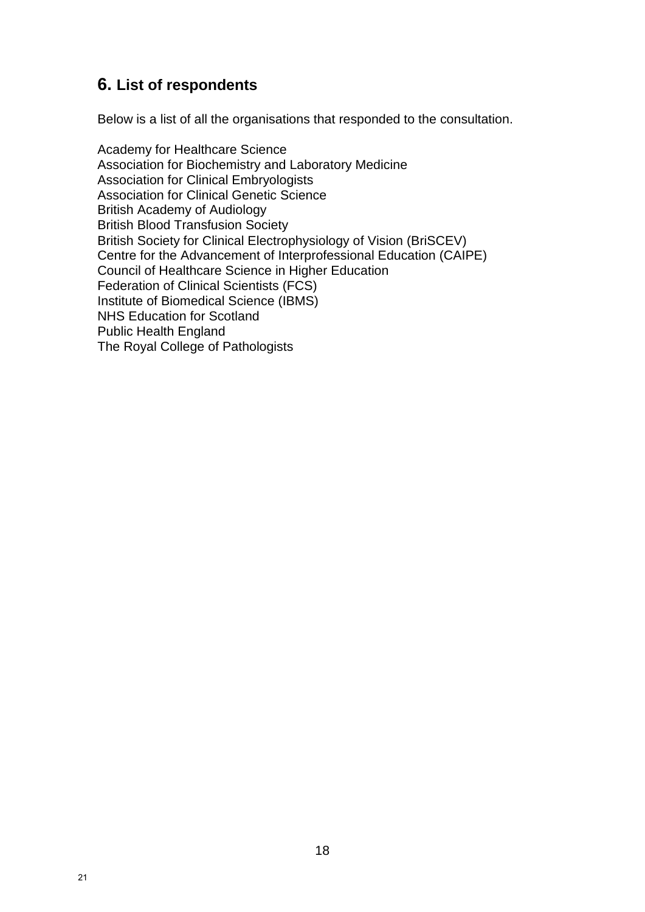## **6. List of respondents**

Below is a list of all the organisations that responded to the consultation.

Academy for Healthcare Science Association for Biochemistry and Laboratory Medicine Association for Clinical Embryologists Association for Clinical Genetic Science British Academy of Audiology British Blood Transfusion Society British Society for Clinical Electrophysiology of Vision (BriSCEV) Centre for the Advancement of Interprofessional Education (CAIPE) Council of Healthcare Science in Higher Education Federation of Clinical Scientists (FCS) Institute of Biomedical Science (IBMS) NHS Education for Scotland Public Health England The Royal College of Pathologists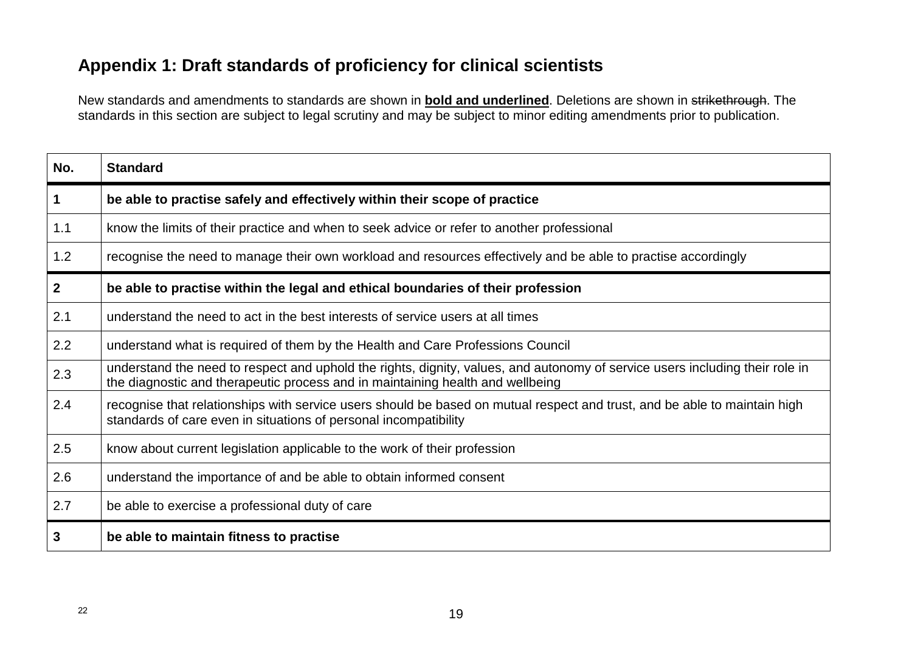# **Appendix 1: Draft standards of proficiency for clinical scientists**

New standards and amendments to standards are shown in **bold and underlined**. Deletions are shown in strikethrough. The standards in this section are subject to legal scrutiny and may be subject to minor editing amendments prior to publication.

| No.            | <b>Standard</b>                                                                                                                                                                                                |
|----------------|----------------------------------------------------------------------------------------------------------------------------------------------------------------------------------------------------------------|
| $\mathbf 1$    | be able to practise safely and effectively within their scope of practice                                                                                                                                      |
| 1.1            | know the limits of their practice and when to seek advice or refer to another professional                                                                                                                     |
| 1.2            | recognise the need to manage their own workload and resources effectively and be able to practise accordingly                                                                                                  |
| 2 <sup>1</sup> | be able to practise within the legal and ethical boundaries of their profession                                                                                                                                |
| 2.1            | understand the need to act in the best interests of service users at all times                                                                                                                                 |
| 2.2            | understand what is required of them by the Health and Care Professions Council                                                                                                                                 |
| 2.3            | understand the need to respect and uphold the rights, dignity, values, and autonomy of service users including their role in<br>the diagnostic and therapeutic process and in maintaining health and wellbeing |
| 2.4            | recognise that relationships with service users should be based on mutual respect and trust, and be able to maintain high<br>standards of care even in situations of personal incompatibility                  |
| 2.5            | know about current legislation applicable to the work of their profession                                                                                                                                      |
| 2.6            | understand the importance of and be able to obtain informed consent                                                                                                                                            |
| 2.7            | be able to exercise a professional duty of care                                                                                                                                                                |
| 3              | be able to maintain fitness to practise                                                                                                                                                                        |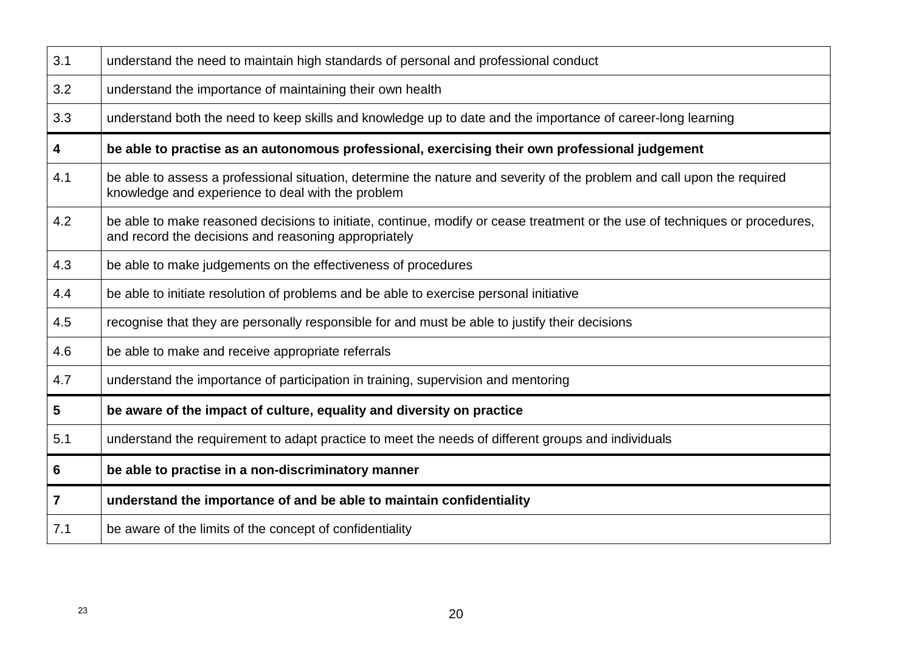| 3.1            | understand the need to maintain high standards of personal and professional conduct                                                                                                 |
|----------------|-------------------------------------------------------------------------------------------------------------------------------------------------------------------------------------|
| 3.2            | understand the importance of maintaining their own health                                                                                                                           |
| 3.3            | understand both the need to keep skills and knowledge up to date and the importance of career-long learning                                                                         |
| 4              | be able to practise as an autonomous professional, exercising their own professional judgement                                                                                      |
| 4.1            | be able to assess a professional situation, determine the nature and severity of the problem and call upon the required<br>knowledge and experience to deal with the problem        |
| 4.2            | be able to make reasoned decisions to initiate, continue, modify or cease treatment or the use of techniques or procedures,<br>and record the decisions and reasoning appropriately |
| 4.3            | be able to make judgements on the effectiveness of procedures                                                                                                                       |
| 4.4            | be able to initiate resolution of problems and be able to exercise personal initiative                                                                                              |
| 4.5            | recognise that they are personally responsible for and must be able to justify their decisions                                                                                      |
| 4.6            | be able to make and receive appropriate referrals                                                                                                                                   |
| 4.7            | understand the importance of participation in training, supervision and mentoring                                                                                                   |
| 5              | be aware of the impact of culture, equality and diversity on practice                                                                                                               |
| 5.1            | understand the requirement to adapt practice to meet the needs of different groups and individuals                                                                                  |
| 6              | be able to practise in a non-discriminatory manner                                                                                                                                  |
| $\overline{7}$ | understand the importance of and be able to maintain confidentiality                                                                                                                |
| 7.1            | be aware of the limits of the concept of confidentiality                                                                                                                            |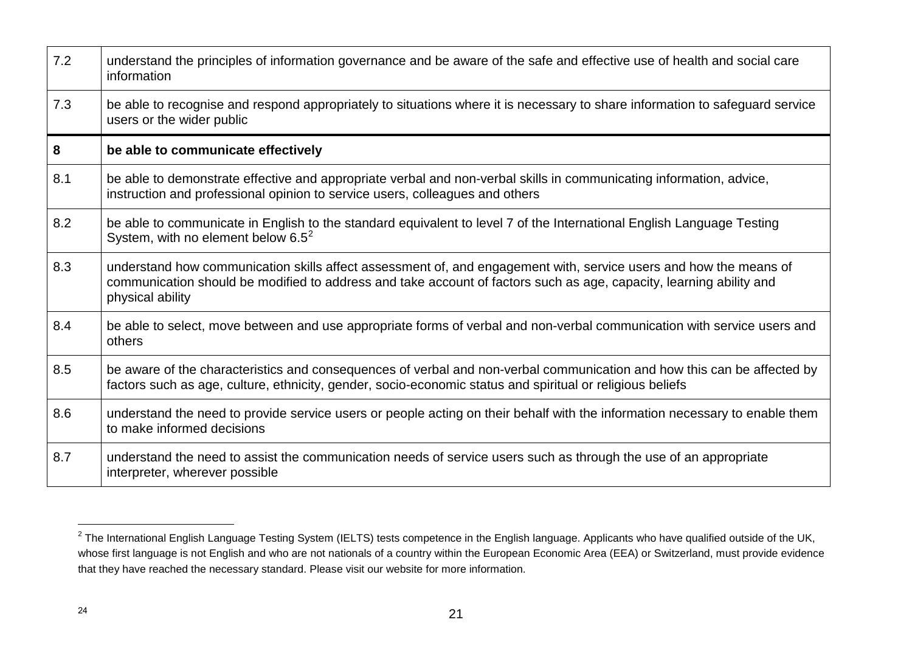| 7.2 | understand the principles of information governance and be aware of the safe and effective use of health and social care<br>information                                                                                                                      |
|-----|--------------------------------------------------------------------------------------------------------------------------------------------------------------------------------------------------------------------------------------------------------------|
| 7.3 | be able to recognise and respond appropriately to situations where it is necessary to share information to safeguard service<br>users or the wider public                                                                                                    |
| 8   | be able to communicate effectively                                                                                                                                                                                                                           |
| 8.1 | be able to demonstrate effective and appropriate verbal and non-verbal skills in communicating information, advice,<br>instruction and professional opinion to service users, colleagues and others                                                          |
| 8.2 | be able to communicate in English to the standard equivalent to level 7 of the International English Language Testing<br>System, with no element below $6.5^2$                                                                                               |
| 8.3 | understand how communication skills affect assessment of, and engagement with, service users and how the means of<br>communication should be modified to address and take account of factors such as age, capacity, learning ability and<br>physical ability |
| 8.4 | be able to select, move between and use appropriate forms of verbal and non-verbal communication with service users and<br>others                                                                                                                            |
| 8.5 | be aware of the characteristics and consequences of verbal and non-verbal communication and how this can be affected by<br>factors such as age, culture, ethnicity, gender, socio-economic status and spiritual or religious beliefs                         |
| 8.6 | understand the need to provide service users or people acting on their behalf with the information necessary to enable them<br>to make informed decisions                                                                                                    |
| 8.7 | understand the need to assist the communication needs of service users such as through the use of an appropriate<br>interpreter, wherever possible                                                                                                           |

 $\overline{a}$ 

 $^2$  The International English Language Testing System (IELTS) tests competence in the English language. Applicants who have qualified outside of the UK, whose first language is not English and who are not nationals of a country within the European Economic Area (EEA) or Switzerland, must provide evidence that they have reached the necessary standard. Please visit our website for more information.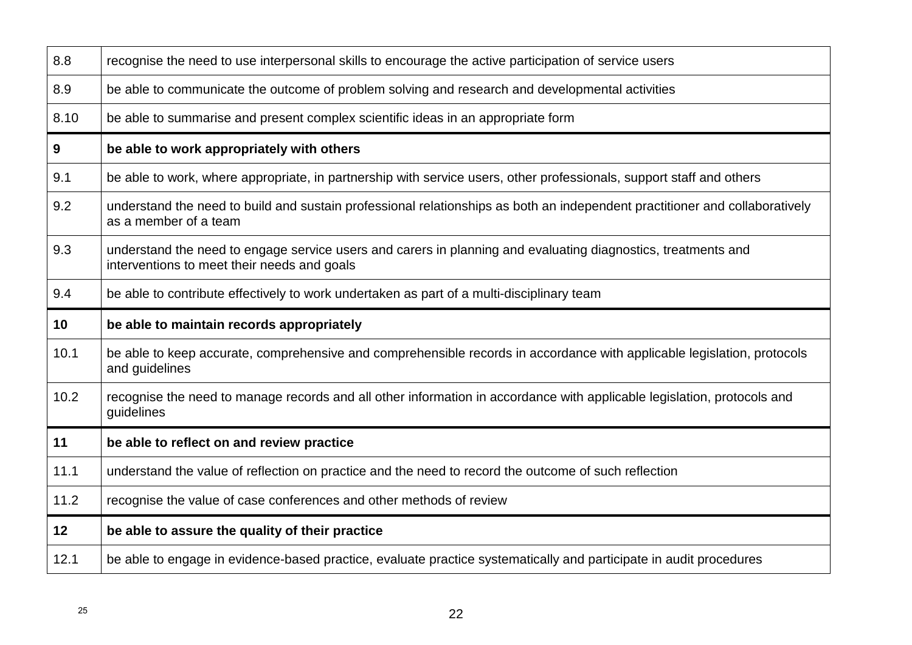| 8.8             | recognise the need to use interpersonal skills to encourage the active participation of service users                                                        |
|-----------------|--------------------------------------------------------------------------------------------------------------------------------------------------------------|
| 8.9             | be able to communicate the outcome of problem solving and research and developmental activities                                                              |
| 8.10            | be able to summarise and present complex scientific ideas in an appropriate form                                                                             |
| 9               | be able to work appropriately with others                                                                                                                    |
| 9.1             | be able to work, where appropriate, in partnership with service users, other professionals, support staff and others                                         |
| 9.2             | understand the need to build and sustain professional relationships as both an independent practitioner and collaboratively<br>as a member of a team         |
| 9.3             | understand the need to engage service users and carers in planning and evaluating diagnostics, treatments and<br>interventions to meet their needs and goals |
| 9.4             | be able to contribute effectively to work undertaken as part of a multi-disciplinary team                                                                    |
|                 |                                                                                                                                                              |
| 10              | be able to maintain records appropriately                                                                                                                    |
| 10.1            | be able to keep accurate, comprehensive and comprehensible records in accordance with applicable legislation, protocols<br>and guidelines                    |
| 10.2            | recognise the need to manage records and all other information in accordance with applicable legislation, protocols and<br>guidelines                        |
| 11              | be able to reflect on and review practice                                                                                                                    |
| 11.1            | understand the value of reflection on practice and the need to record the outcome of such reflection                                                         |
| 11.2            | recognise the value of case conferences and other methods of review                                                                                          |
| 12 <sub>2</sub> | be able to assure the quality of their practice                                                                                                              |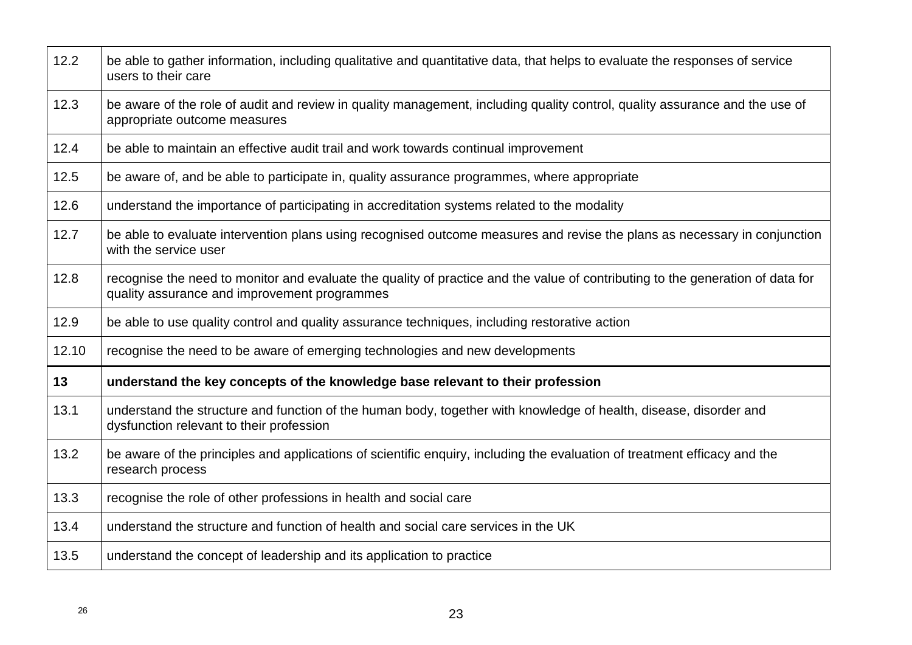| 12.2  | be able to gather information, including qualitative and quantitative data, that helps to evaluate the responses of service<br>users to their care                             |
|-------|--------------------------------------------------------------------------------------------------------------------------------------------------------------------------------|
| 12.3  | be aware of the role of audit and review in quality management, including quality control, quality assurance and the use of<br>appropriate outcome measures                    |
| 12.4  | be able to maintain an effective audit trail and work towards continual improvement                                                                                            |
| 12.5  | be aware of, and be able to participate in, quality assurance programmes, where appropriate                                                                                    |
| 12.6  | understand the importance of participating in accreditation systems related to the modality                                                                                    |
| 12.7  | be able to evaluate intervention plans using recognised outcome measures and revise the plans as necessary in conjunction<br>with the service user                             |
| 12.8  | recognise the need to monitor and evaluate the quality of practice and the value of contributing to the generation of data for<br>quality assurance and improvement programmes |
| 12.9  | be able to use quality control and quality assurance techniques, including restorative action                                                                                  |
| 12.10 | recognise the need to be aware of emerging technologies and new developments                                                                                                   |
| 13    | understand the key concepts of the knowledge base relevant to their profession                                                                                                 |
| 13.1  | understand the structure and function of the human body, together with knowledge of health, disease, disorder and<br>dysfunction relevant to their profession                  |
| 13.2  | be aware of the principles and applications of scientific enquiry, including the evaluation of treatment efficacy and the<br>research process                                  |
| 13.3  | recognise the role of other professions in health and social care                                                                                                              |
| 13.4  | understand the structure and function of health and social care services in the UK                                                                                             |
| 13.5  | understand the concept of leadership and its application to practice                                                                                                           |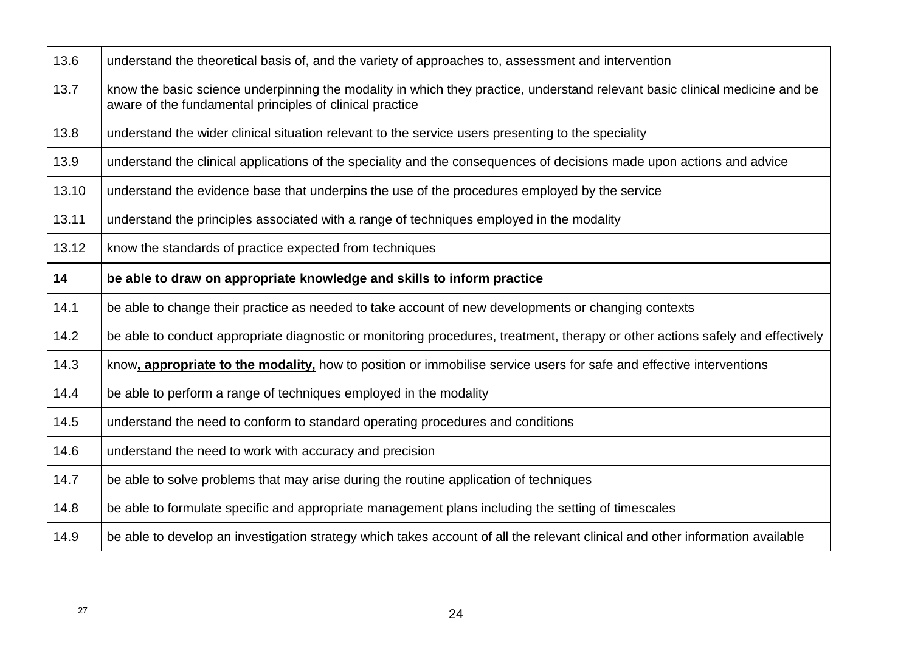| 13.6  | understand the theoretical basis of, and the variety of approaches to, assessment and intervention                                                                                      |
|-------|-----------------------------------------------------------------------------------------------------------------------------------------------------------------------------------------|
| 13.7  | know the basic science underpinning the modality in which they practice, understand relevant basic clinical medicine and be<br>aware of the fundamental principles of clinical practice |
| 13.8  | understand the wider clinical situation relevant to the service users presenting to the speciality                                                                                      |
| 13.9  | understand the clinical applications of the speciality and the consequences of decisions made upon actions and advice                                                                   |
| 13.10 | understand the evidence base that underpins the use of the procedures employed by the service                                                                                           |
| 13.11 | understand the principles associated with a range of techniques employed in the modality                                                                                                |
| 13.12 | know the standards of practice expected from techniques                                                                                                                                 |
| 14    | be able to draw on appropriate knowledge and skills to inform practice                                                                                                                  |
| 14.1  | be able to change their practice as needed to take account of new developments or changing contexts                                                                                     |
| 14.2  | be able to conduct appropriate diagnostic or monitoring procedures, treatment, therapy or other actions safely and effectively                                                          |
|       |                                                                                                                                                                                         |
| 14.3  | know, appropriate to the modality, how to position or immobilise service users for safe and effective interventions                                                                     |
| 14.4  | be able to perform a range of techniques employed in the modality                                                                                                                       |
| 14.5  | understand the need to conform to standard operating procedures and conditions                                                                                                          |
| 14.6  | understand the need to work with accuracy and precision                                                                                                                                 |
| 14.7  | be able to solve problems that may arise during the routine application of techniques                                                                                                   |
| 14.8  | be able to formulate specific and appropriate management plans including the setting of timescales                                                                                      |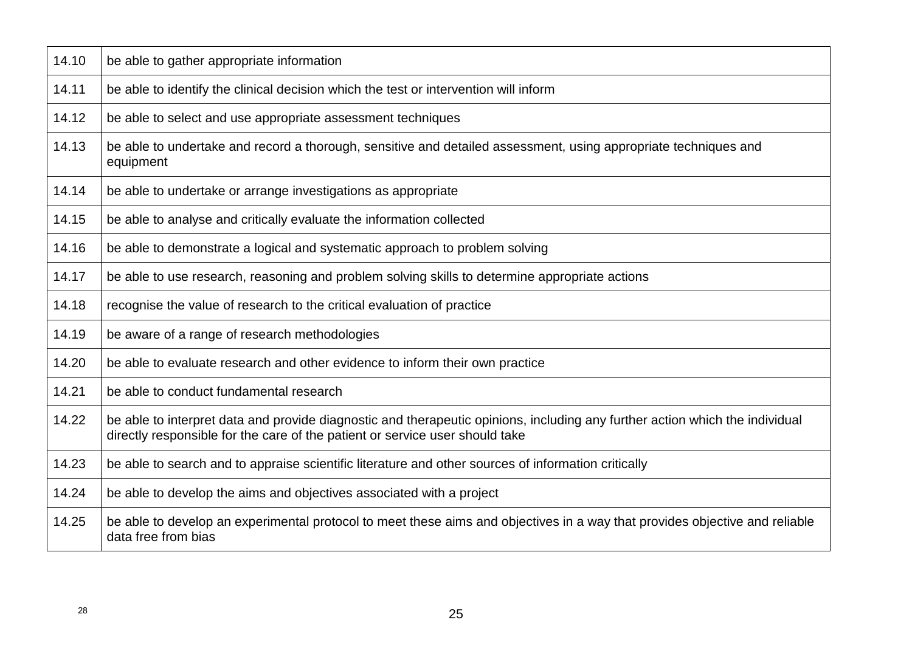| 14.10 | be able to gather appropriate information                                                                                                                                                                    |
|-------|--------------------------------------------------------------------------------------------------------------------------------------------------------------------------------------------------------------|
| 14.11 | be able to identify the clinical decision which the test or intervention will inform                                                                                                                         |
| 14.12 | be able to select and use appropriate assessment techniques                                                                                                                                                  |
| 14.13 | be able to undertake and record a thorough, sensitive and detailed assessment, using appropriate techniques and<br>equipment                                                                                 |
| 14.14 | be able to undertake or arrange investigations as appropriate                                                                                                                                                |
| 14.15 | be able to analyse and critically evaluate the information collected                                                                                                                                         |
| 14.16 | be able to demonstrate a logical and systematic approach to problem solving                                                                                                                                  |
| 14.17 | be able to use research, reasoning and problem solving skills to determine appropriate actions                                                                                                               |
| 14.18 | recognise the value of research to the critical evaluation of practice                                                                                                                                       |
| 14.19 | be aware of a range of research methodologies                                                                                                                                                                |
| 14.20 | be able to evaluate research and other evidence to inform their own practice                                                                                                                                 |
| 14.21 | be able to conduct fundamental research                                                                                                                                                                      |
| 14.22 | be able to interpret data and provide diagnostic and therapeutic opinions, including any further action which the individual<br>directly responsible for the care of the patient or service user should take |
| 14.23 | be able to search and to appraise scientific literature and other sources of information critically                                                                                                          |
| 14.24 | be able to develop the aims and objectives associated with a project                                                                                                                                         |
| 14.25 | be able to develop an experimental protocol to meet these aims and objectives in a way that provides objective and reliable<br>data free from bias                                                           |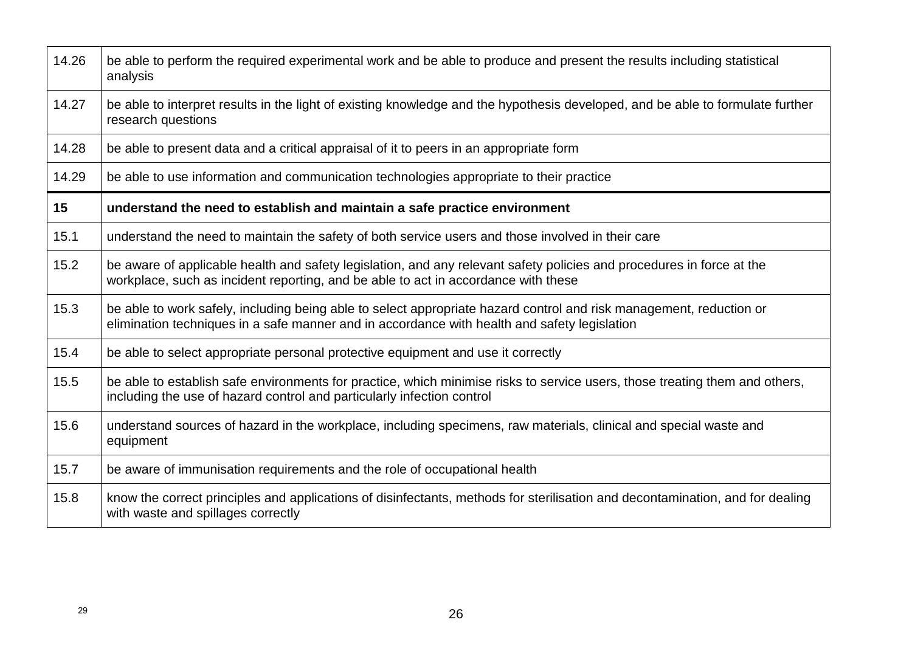| 14.26 | be able to perform the required experimental work and be able to produce and present the results including statistical<br>analysis                                                                                  |
|-------|---------------------------------------------------------------------------------------------------------------------------------------------------------------------------------------------------------------------|
| 14.27 | be able to interpret results in the light of existing knowledge and the hypothesis developed, and be able to formulate further<br>research questions                                                                |
| 14.28 | be able to present data and a critical appraisal of it to peers in an appropriate form                                                                                                                              |
| 14.29 | be able to use information and communication technologies appropriate to their practice                                                                                                                             |
| 15    | understand the need to establish and maintain a safe practice environment                                                                                                                                           |
| 15.1  | understand the need to maintain the safety of both service users and those involved in their care                                                                                                                   |
| 15.2  | be aware of applicable health and safety legislation, and any relevant safety policies and procedures in force at the<br>workplace, such as incident reporting, and be able to act in accordance with these         |
| 15.3  | be able to work safely, including being able to select appropriate hazard control and risk management, reduction or<br>elimination techniques in a safe manner and in accordance with health and safety legislation |
| 15.4  | be able to select appropriate personal protective equipment and use it correctly                                                                                                                                    |
| 15.5  | be able to establish safe environments for practice, which minimise risks to service users, those treating them and others,<br>including the use of hazard control and particularly infection control               |
| 15.6  | understand sources of hazard in the workplace, including specimens, raw materials, clinical and special waste and<br>equipment                                                                                      |
| 15.7  | be aware of immunisation requirements and the role of occupational health                                                                                                                                           |
| 15.8  | know the correct principles and applications of disinfectants, methods for sterilisation and decontamination, and for dealing<br>with waste and spillages correctly                                                 |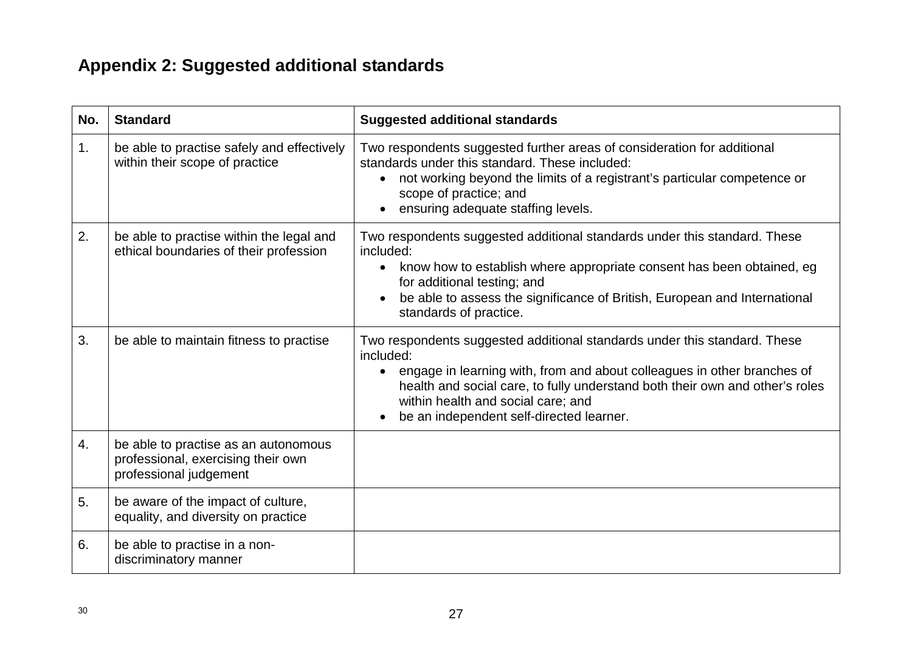# **Appendix 2: Suggested additional standards**

| No.            | <b>Standard</b>                                                                                      | <b>Suggested additional standards</b>                                                                                                                                                                                                                                                                                                            |
|----------------|------------------------------------------------------------------------------------------------------|--------------------------------------------------------------------------------------------------------------------------------------------------------------------------------------------------------------------------------------------------------------------------------------------------------------------------------------------------|
| 1 <sub>1</sub> | be able to practise safely and effectively<br>within their scope of practice                         | Two respondents suggested further areas of consideration for additional<br>standards under this standard. These included:<br>• not working beyond the limits of a registrant's particular competence or<br>scope of practice; and<br>ensuring adequate staffing levels.                                                                          |
| 2.             | be able to practise within the legal and<br>ethical boundaries of their profession                   | Two respondents suggested additional standards under this standard. These<br>included:<br>know how to establish where appropriate consent has been obtained, eg<br>$\bullet$<br>for additional testing; and<br>be able to assess the significance of British, European and International<br>standards of practice.                               |
| 3.             | be able to maintain fitness to practise                                                              | Two respondents suggested additional standards under this standard. These<br>included:<br>engage in learning with, from and about colleagues in other branches of<br>$\bullet$<br>health and social care, to fully understand both their own and other's roles<br>within health and social care; and<br>be an independent self-directed learner. |
| 4.             | be able to practise as an autonomous<br>professional, exercising their own<br>professional judgement |                                                                                                                                                                                                                                                                                                                                                  |
| 5.             | be aware of the impact of culture,<br>equality, and diversity on practice                            |                                                                                                                                                                                                                                                                                                                                                  |
| 6.             | be able to practise in a non-<br>discriminatory manner                                               |                                                                                                                                                                                                                                                                                                                                                  |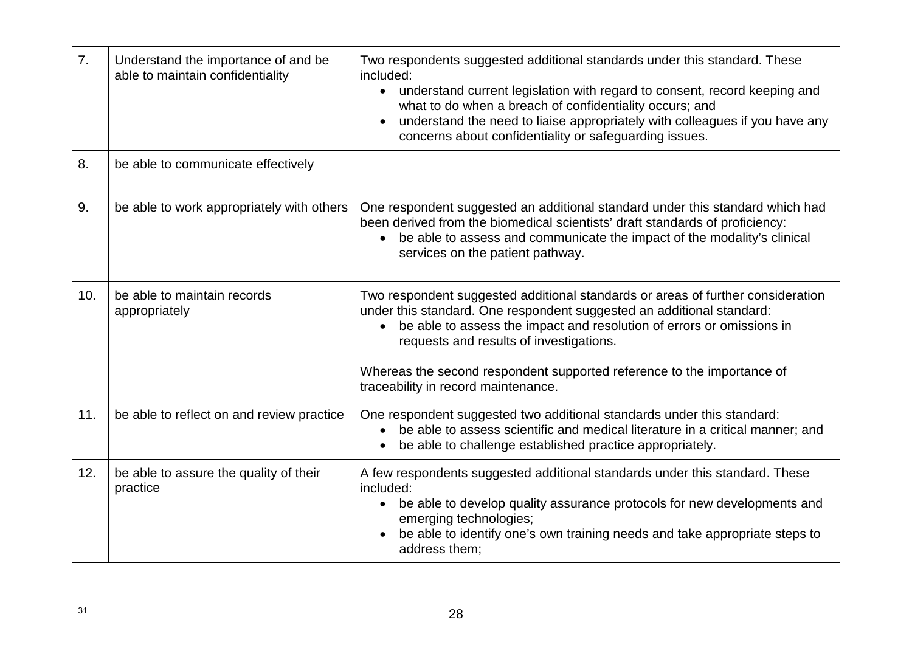| 7.  | Understand the importance of and be<br>able to maintain confidentiality | Two respondents suggested additional standards under this standard. These<br>included:<br>• understand current legislation with regard to consent, record keeping and<br>what to do when a breach of confidentiality occurs; and<br>understand the need to liaise appropriately with colleagues if you have any<br>concerns about confidentiality or safeguarding issues. |
|-----|-------------------------------------------------------------------------|---------------------------------------------------------------------------------------------------------------------------------------------------------------------------------------------------------------------------------------------------------------------------------------------------------------------------------------------------------------------------|
| 8.  | be able to communicate effectively                                      |                                                                                                                                                                                                                                                                                                                                                                           |
| 9.  | be able to work appropriately with others                               | One respondent suggested an additional standard under this standard which had<br>been derived from the biomedical scientists' draft standards of proficiency:<br>be able to assess and communicate the impact of the modality's clinical<br>$\bullet$<br>services on the patient pathway.                                                                                 |
| 10. | be able to maintain records<br>appropriately                            | Two respondent suggested additional standards or areas of further consideration<br>under this standard. One respondent suggested an additional standard:<br>be able to assess the impact and resolution of errors or omissions in<br>$\bullet$<br>requests and results of investigations.<br>Whereas the second respondent supported reference to the importance of       |
|     |                                                                         | traceability in record maintenance.                                                                                                                                                                                                                                                                                                                                       |
| 11. | be able to reflect on and review practice                               | One respondent suggested two additional standards under this standard:<br>be able to assess scientific and medical literature in a critical manner; and<br>be able to challenge established practice appropriately.                                                                                                                                                       |
| 12. | be able to assure the quality of their<br>practice                      | A few respondents suggested additional standards under this standard. These<br>included:<br>be able to develop quality assurance protocols for new developments and<br>emerging technologies;<br>be able to identify one's own training needs and take appropriate steps to<br>address them;                                                                              |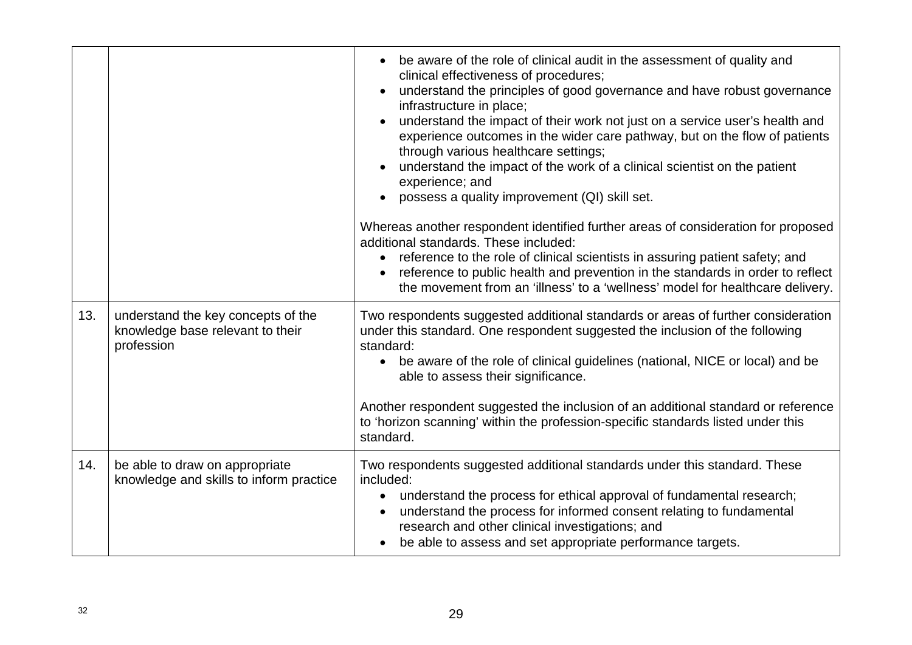|     |                                                                                      | be aware of the role of clinical audit in the assessment of quality and<br>clinical effectiveness of procedures;<br>understand the principles of good governance and have robust governance<br>infrastructure in place;<br>understand the impact of their work not just on a service user's health and<br>experience outcomes in the wider care pathway, but on the flow of patients<br>through various healthcare settings;<br>understand the impact of the work of a clinical scientist on the patient<br>experience; and<br>possess a quality improvement (QI) skill set. |
|-----|--------------------------------------------------------------------------------------|------------------------------------------------------------------------------------------------------------------------------------------------------------------------------------------------------------------------------------------------------------------------------------------------------------------------------------------------------------------------------------------------------------------------------------------------------------------------------------------------------------------------------------------------------------------------------|
|     |                                                                                      | Whereas another respondent identified further areas of consideration for proposed<br>additional standards. These included:<br>reference to the role of clinical scientists in assuring patient safety; and<br>reference to public health and prevention in the standards in order to reflect<br>the movement from an 'illness' to a 'wellness' model for healthcare delivery.                                                                                                                                                                                                |
| 13. | understand the key concepts of the<br>knowledge base relevant to their<br>profession | Two respondents suggested additional standards or areas of further consideration<br>under this standard. One respondent suggested the inclusion of the following<br>standard:<br>be aware of the role of clinical guidelines (national, NICE or local) and be<br>able to assess their significance.<br>Another respondent suggested the inclusion of an additional standard or reference<br>to 'horizon scanning' within the profession-specific standards listed under this<br>standard.                                                                                    |
| 14. | be able to draw on appropriate<br>knowledge and skills to inform practice            | Two respondents suggested additional standards under this standard. These<br>included:<br>understand the process for ethical approval of fundamental research;<br>understand the process for informed consent relating to fundamental<br>research and other clinical investigations; and<br>be able to assess and set appropriate performance targets.                                                                                                                                                                                                                       |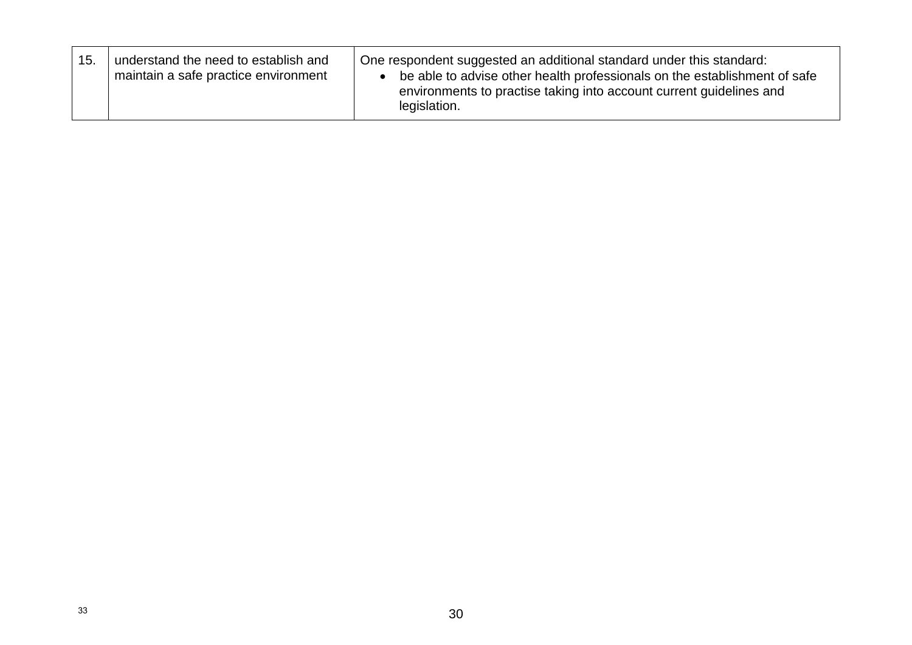| 15. | understand the need to establish and<br>maintain a safe practice environment | One respondent suggested an additional standard under this standard:<br>be able to advise other health professionals on the establishment of safe<br>environments to practise taking into account current guidelines and<br>legislation. |
|-----|------------------------------------------------------------------------------|------------------------------------------------------------------------------------------------------------------------------------------------------------------------------------------------------------------------------------------|
|-----|------------------------------------------------------------------------------|------------------------------------------------------------------------------------------------------------------------------------------------------------------------------------------------------------------------------------------|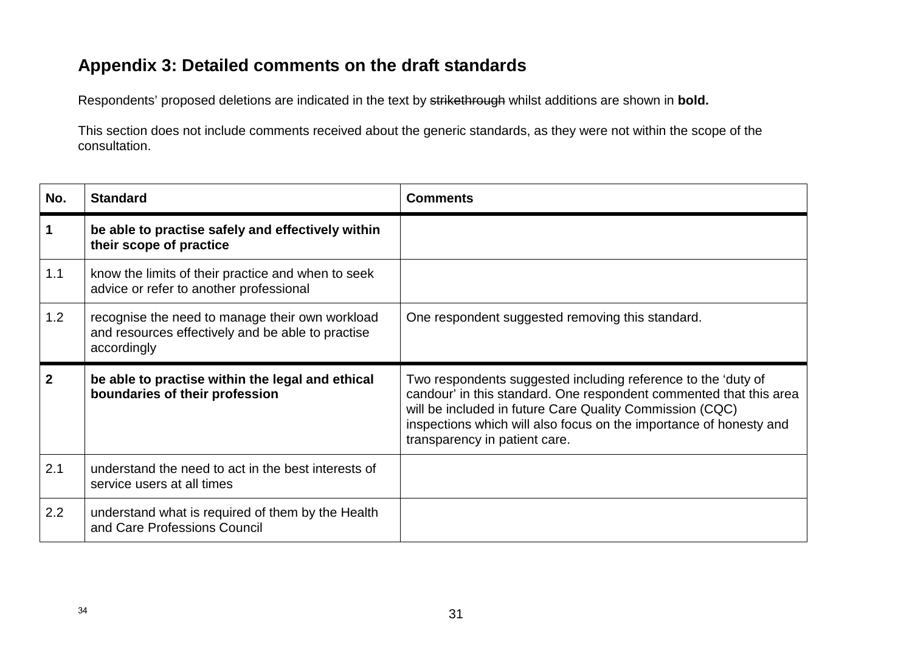# **Appendix 3: Detailed comments on the draft standards**

Respondents' proposed deletions are indicated in the text by strikethrough whilst additions are shown in **bold.**

This section does not include comments received about the generic standards, as they were not within the scope of the consultation.

| No.            | <b>Standard</b>                                                                                                     | <b>Comments</b>                                                                                                                                                                                                                                                                                        |
|----------------|---------------------------------------------------------------------------------------------------------------------|--------------------------------------------------------------------------------------------------------------------------------------------------------------------------------------------------------------------------------------------------------------------------------------------------------|
| 1              | be able to practise safely and effectively within<br>their scope of practice                                        |                                                                                                                                                                                                                                                                                                        |
| 1.1            | know the limits of their practice and when to seek<br>advice or refer to another professional                       |                                                                                                                                                                                                                                                                                                        |
| 1.2            | recognise the need to manage their own workload<br>and resources effectively and be able to practise<br>accordingly | One respondent suggested removing this standard.                                                                                                                                                                                                                                                       |
|                |                                                                                                                     |                                                                                                                                                                                                                                                                                                        |
| $\overline{2}$ | be able to practise within the legal and ethical<br>boundaries of their profession                                  | Two respondents suggested including reference to the 'duty of<br>candour' in this standard. One respondent commented that this area<br>will be included in future Care Quality Commission (CQC)<br>inspections which will also focus on the importance of honesty and<br>transparency in patient care. |
| 2.1            | understand the need to act in the best interests of<br>service users at all times                                   |                                                                                                                                                                                                                                                                                                        |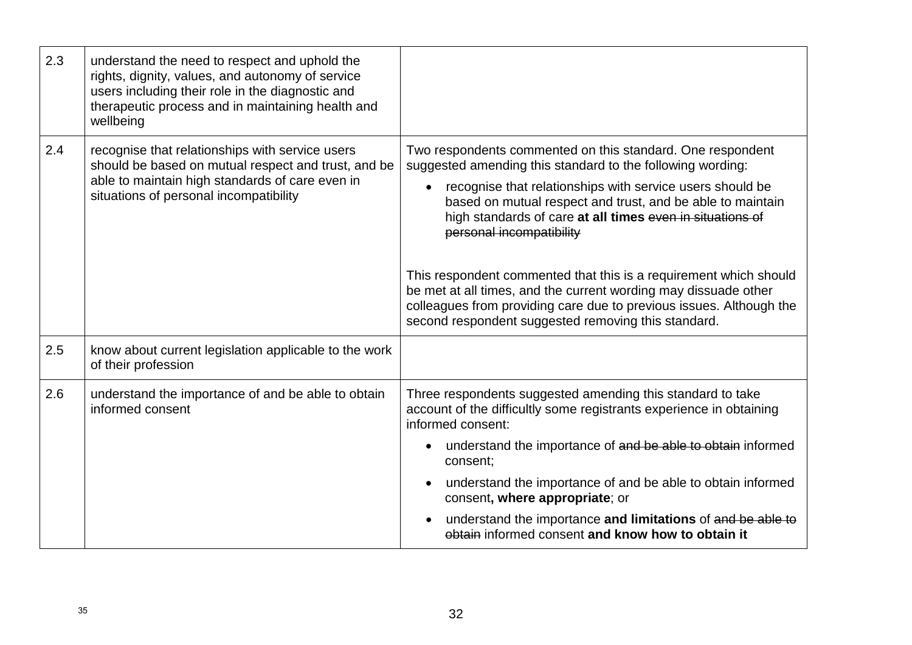| 2.3 | understand the need to respect and uphold the<br>rights, dignity, values, and autonomy of service<br>users including their role in the diagnostic and<br>therapeutic process and in maintaining health and<br>wellbeing |                                                                                                                                                                                                                                                                                                                                                                                                                                                                                                                                                                                                                    |
|-----|-------------------------------------------------------------------------------------------------------------------------------------------------------------------------------------------------------------------------|--------------------------------------------------------------------------------------------------------------------------------------------------------------------------------------------------------------------------------------------------------------------------------------------------------------------------------------------------------------------------------------------------------------------------------------------------------------------------------------------------------------------------------------------------------------------------------------------------------------------|
| 2.4 | recognise that relationships with service users<br>should be based on mutual respect and trust, and be<br>able to maintain high standards of care even in<br>situations of personal incompatibility                     | Two respondents commented on this standard. One respondent<br>suggested amending this standard to the following wording:<br>recognise that relationships with service users should be<br>based on mutual respect and trust, and be able to maintain<br>high standards of care at all times even in situations of<br>personal incompatibility<br>This respondent commented that this is a requirement which should<br>be met at all times, and the current wording may dissuade other<br>colleagues from providing care due to previous issues. Although the<br>second respondent suggested removing this standard. |
| 2.5 | know about current legislation applicable to the work<br>of their profession                                                                                                                                            |                                                                                                                                                                                                                                                                                                                                                                                                                                                                                                                                                                                                                    |
| 2.6 | understand the importance of and be able to obtain<br>informed consent                                                                                                                                                  | Three respondents suggested amending this standard to take<br>account of the difficultly some registrants experience in obtaining<br>informed consent:<br>understand the importance of and be able to obtain informed<br>consent;<br>understand the importance of and be able to obtain informed<br>consent, where appropriate; or<br>understand the importance and limitations of and be able to<br>obtain informed consent and know how to obtain it                                                                                                                                                             |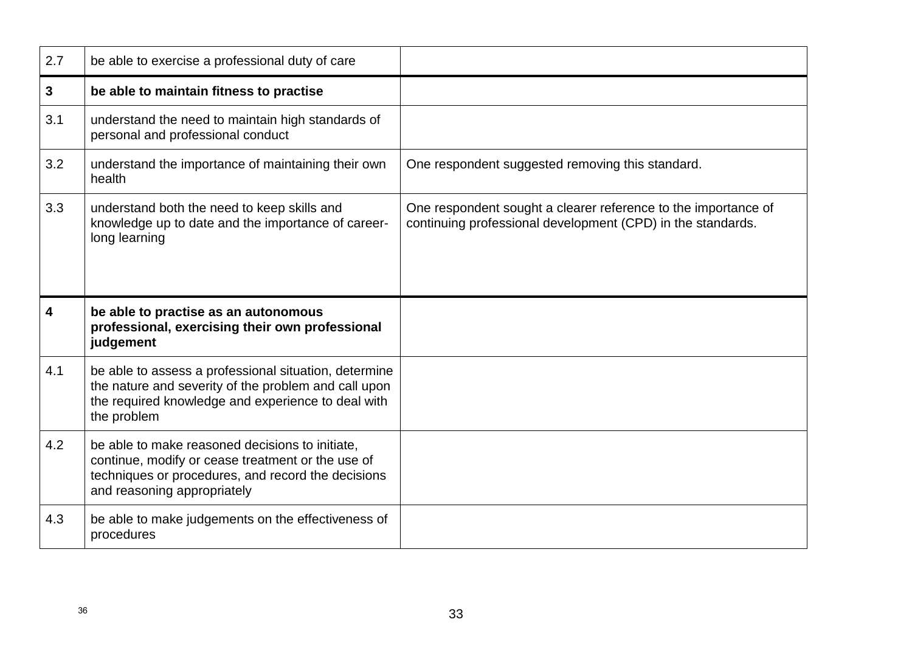| 2.7          | be able to exercise a professional duty of care                                                                                                                                           |                                                                                                                               |
|--------------|-------------------------------------------------------------------------------------------------------------------------------------------------------------------------------------------|-------------------------------------------------------------------------------------------------------------------------------|
| $\mathbf{3}$ | be able to maintain fitness to practise                                                                                                                                                   |                                                                                                                               |
| 3.1          | understand the need to maintain high standards of<br>personal and professional conduct                                                                                                    |                                                                                                                               |
| 3.2          | understand the importance of maintaining their own<br>health                                                                                                                              | One respondent suggested removing this standard.                                                                              |
| 3.3          | understand both the need to keep skills and<br>knowledge up to date and the importance of career-<br>long learning                                                                        | One respondent sought a clearer reference to the importance of<br>continuing professional development (CPD) in the standards. |
| 4            | be able to practise as an autonomous<br>professional, exercising their own professional<br>judgement                                                                                      |                                                                                                                               |
| 4.1          | be able to assess a professional situation, determine<br>the nature and severity of the problem and call upon<br>the required knowledge and experience to deal with<br>the problem        |                                                                                                                               |
| 4.2          | be able to make reasoned decisions to initiate,<br>continue, modify or cease treatment or the use of<br>techniques or procedures, and record the decisions<br>and reasoning appropriately |                                                                                                                               |
| 4.3          | be able to make judgements on the effectiveness of<br>procedures                                                                                                                          |                                                                                                                               |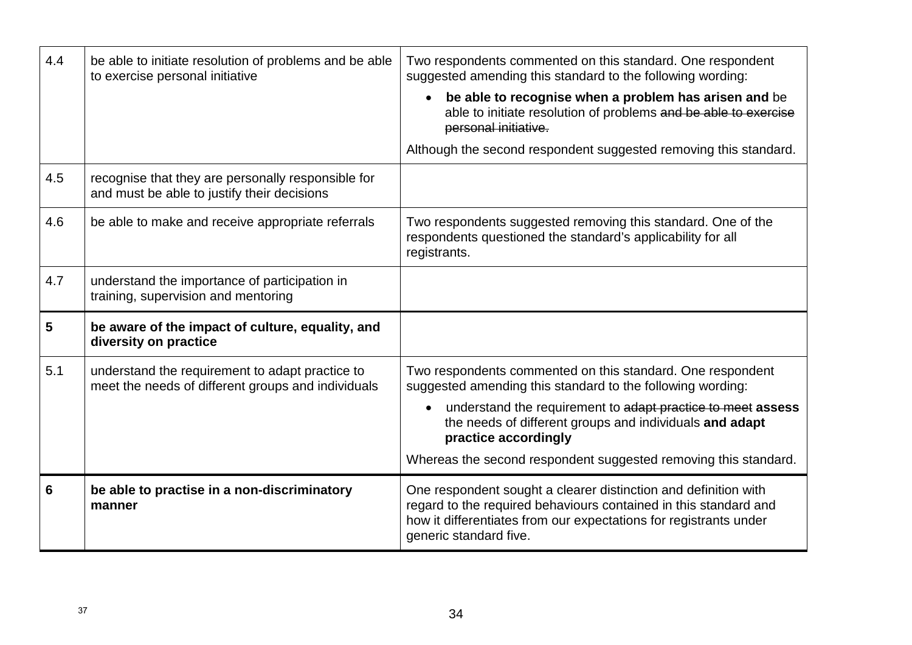| 4.4 | be able to initiate resolution of problems and be able<br>to exercise personal initiative             | Two respondents commented on this standard. One respondent<br>suggested amending this standard to the following wording:<br>be able to recognise when a problem has arisen and be<br>able to initiate resolution of problems and be able to exercise<br>personal initiative.<br>Although the second respondent suggested removing this standard. |
|-----|-------------------------------------------------------------------------------------------------------|--------------------------------------------------------------------------------------------------------------------------------------------------------------------------------------------------------------------------------------------------------------------------------------------------------------------------------------------------|
| 4.5 | recognise that they are personally responsible for<br>and must be able to justify their decisions     |                                                                                                                                                                                                                                                                                                                                                  |
| 4.6 | be able to make and receive appropriate referrals                                                     | Two respondents suggested removing this standard. One of the<br>respondents questioned the standard's applicability for all<br>registrants.                                                                                                                                                                                                      |
| 4.7 | understand the importance of participation in<br>training, supervision and mentoring                  |                                                                                                                                                                                                                                                                                                                                                  |
| 5   | be aware of the impact of culture, equality, and<br>diversity on practice                             |                                                                                                                                                                                                                                                                                                                                                  |
| 5.1 | understand the requirement to adapt practice to<br>meet the needs of different groups and individuals | Two respondents commented on this standard. One respondent<br>suggested amending this standard to the following wording:<br>understand the requirement to adapt practice to meet assess<br>the needs of different groups and individuals and adapt<br>practice accordingly<br>Whereas the second respondent suggested removing this standard.    |
| 6   | be able to practise in a non-discriminatory<br>manner                                                 | One respondent sought a clearer distinction and definition with<br>regard to the required behaviours contained in this standard and<br>how it differentiates from our expectations for registrants under<br>generic standard five.                                                                                                               |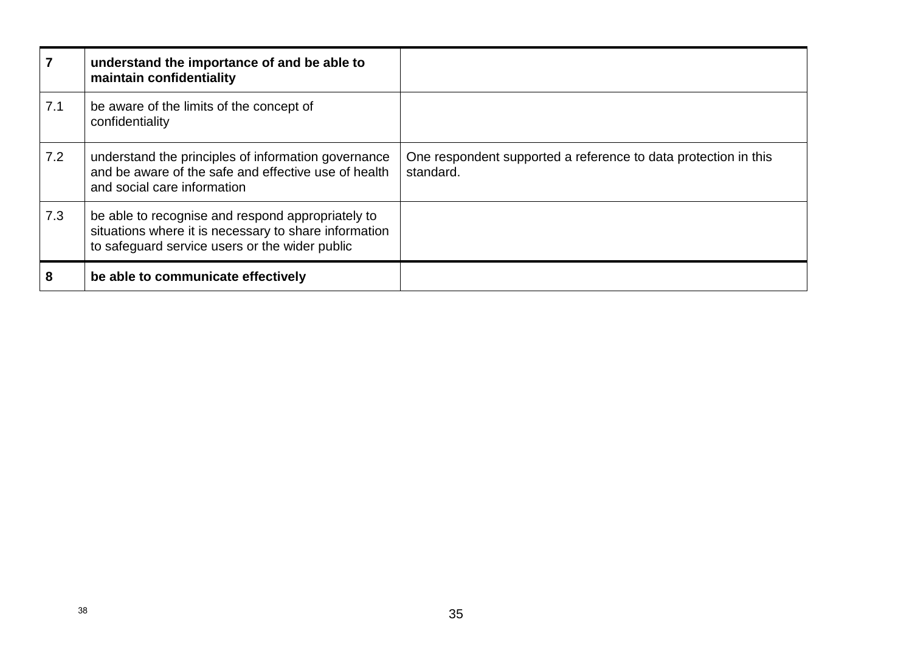|     | understand the importance of and be able to<br>maintain confidentiality                                                                                      |                                                                              |
|-----|--------------------------------------------------------------------------------------------------------------------------------------------------------------|------------------------------------------------------------------------------|
| 7.1 | be aware of the limits of the concept of<br>confidentiality                                                                                                  |                                                                              |
| 7.2 | understand the principles of information governance<br>and be aware of the safe and effective use of health<br>and social care information                   | One respondent supported a reference to data protection in this<br>standard. |
| 7.3 | be able to recognise and respond appropriately to<br>situations where it is necessary to share information<br>to safeguard service users or the wider public |                                                                              |
| 8   | be able to communicate effectively                                                                                                                           |                                                                              |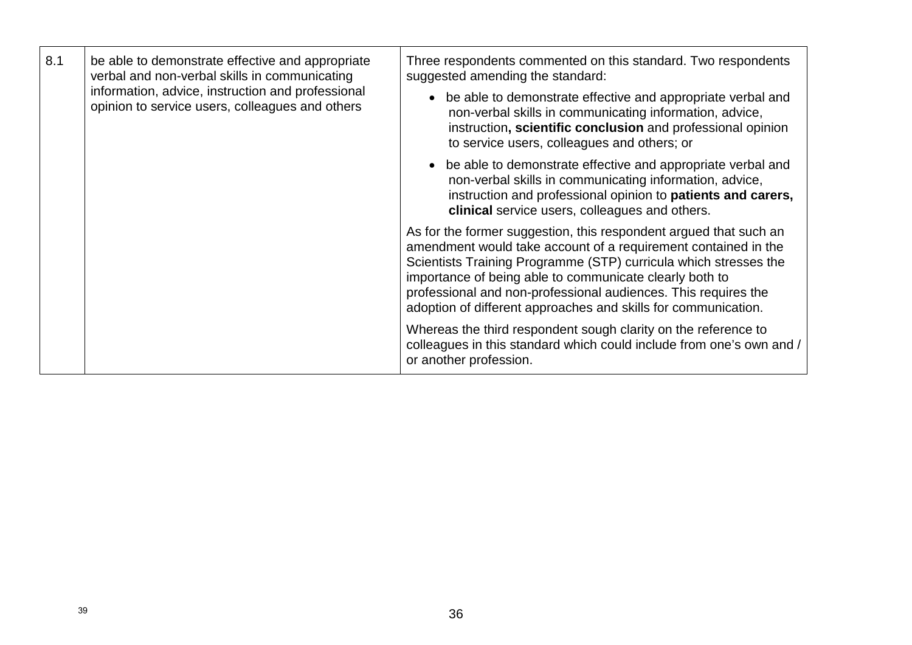| 8.1<br>verbal and non-verbal skills in communicating<br>information, advice, instruction and professional | be able to demonstrate effective and appropriate | Three respondents commented on this standard. Two respondents<br>suggested amending the standard:                                                                                                                                                                                                                                                                                                      |
|-----------------------------------------------------------------------------------------------------------|--------------------------------------------------|--------------------------------------------------------------------------------------------------------------------------------------------------------------------------------------------------------------------------------------------------------------------------------------------------------------------------------------------------------------------------------------------------------|
|                                                                                                           | opinion to service users, colleagues and others  | be able to demonstrate effective and appropriate verbal and<br>non-verbal skills in communicating information, advice,<br>instruction, scientific conclusion and professional opinion<br>to service users, colleagues and others; or                                                                                                                                                                   |
|                                                                                                           |                                                  | be able to demonstrate effective and appropriate verbal and<br>non-verbal skills in communicating information, advice,<br>instruction and professional opinion to patients and carers,<br>clinical service users, colleagues and others.                                                                                                                                                               |
|                                                                                                           |                                                  | As for the former suggestion, this respondent argued that such an<br>amendment would take account of a requirement contained in the<br>Scientists Training Programme (STP) curricula which stresses the<br>importance of being able to communicate clearly both to<br>professional and non-professional audiences. This requires the<br>adoption of different approaches and skills for communication. |
|                                                                                                           |                                                  | Whereas the third respondent sough clarity on the reference to<br>colleagues in this standard which could include from one's own and /<br>or another profession.                                                                                                                                                                                                                                       |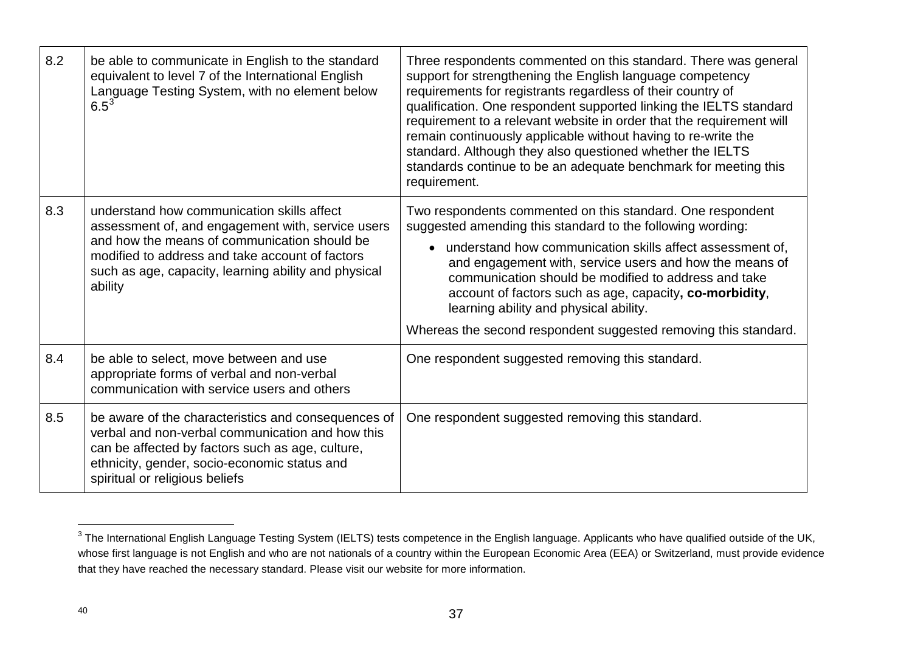| 8.2 | be able to communicate in English to the standard<br>equivalent to level 7 of the International English<br>Language Testing System, with no element below<br>$6.5^{3}$                                                                                                | Three respondents commented on this standard. There was general<br>support for strengthening the English language competency<br>requirements for registrants regardless of their country of<br>qualification. One respondent supported linking the IELTS standard<br>requirement to a relevant website in order that the requirement will<br>remain continuously applicable without having to re-write the<br>standard. Although they also questioned whether the IELTS<br>standards continue to be an adequate benchmark for meeting this<br>requirement. |
|-----|-----------------------------------------------------------------------------------------------------------------------------------------------------------------------------------------------------------------------------------------------------------------------|------------------------------------------------------------------------------------------------------------------------------------------------------------------------------------------------------------------------------------------------------------------------------------------------------------------------------------------------------------------------------------------------------------------------------------------------------------------------------------------------------------------------------------------------------------|
| 8.3 | understand how communication skills affect<br>assessment of, and engagement with, service users<br>and how the means of communication should be<br>modified to address and take account of factors<br>such as age, capacity, learning ability and physical<br>ability | Two respondents commented on this standard. One respondent<br>suggested amending this standard to the following wording:<br>• understand how communication skills affect assessment of,<br>and engagement with, service users and how the means of<br>communication should be modified to address and take<br>account of factors such as age, capacity, co-morbidity,<br>learning ability and physical ability.<br>Whereas the second respondent suggested removing this standard.                                                                         |
| 8.4 | be able to select, move between and use<br>appropriate forms of verbal and non-verbal<br>communication with service users and others                                                                                                                                  | One respondent suggested removing this standard.                                                                                                                                                                                                                                                                                                                                                                                                                                                                                                           |
| 8.5 | be aware of the characteristics and consequences of<br>verbal and non-verbal communication and how this<br>can be affected by factors such as age, culture,<br>ethnicity, gender, socio-economic status and<br>spiritual or religious beliefs                         | One respondent suggested removing this standard.                                                                                                                                                                                                                                                                                                                                                                                                                                                                                                           |

 $\overline{a}$ 

 $^3$  The International English Language Testing System (IELTS) tests competence in the English language. Applicants who have qualified outside of the UK, whose first language is not English and who are not nationals of a country within the European Economic Area (EEA) or Switzerland, must provide evidence that they have reached the necessary standard. Please visit our website for more information.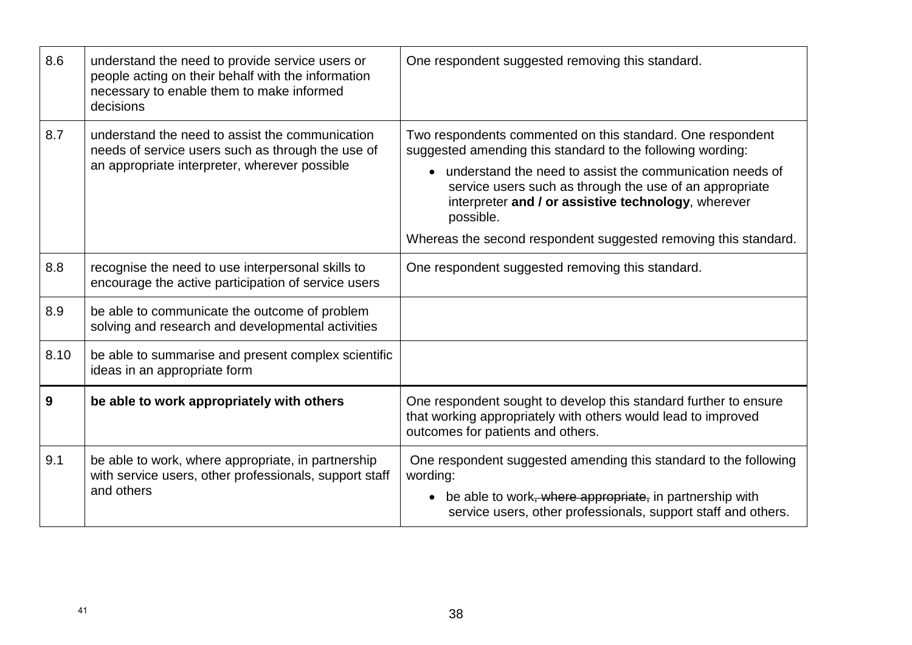| 8.6  | understand the need to provide service users or<br>people acting on their behalf with the information<br>necessary to enable them to make informed<br>decisions | One respondent suggested removing this standard.                                                                                                                                                                                                                                                                                                                                         |
|------|-----------------------------------------------------------------------------------------------------------------------------------------------------------------|------------------------------------------------------------------------------------------------------------------------------------------------------------------------------------------------------------------------------------------------------------------------------------------------------------------------------------------------------------------------------------------|
| 8.7  | understand the need to assist the communication<br>needs of service users such as through the use of<br>an appropriate interpreter, wherever possible           | Two respondents commented on this standard. One respondent<br>suggested amending this standard to the following wording:<br>• understand the need to assist the communication needs of<br>service users such as through the use of an appropriate<br>interpreter and / or assistive technology, wherever<br>possible.<br>Whereas the second respondent suggested removing this standard. |
| 8.8  | recognise the need to use interpersonal skills to<br>encourage the active participation of service users                                                        | One respondent suggested removing this standard.                                                                                                                                                                                                                                                                                                                                         |
| 8.9  | be able to communicate the outcome of problem<br>solving and research and developmental activities                                                              |                                                                                                                                                                                                                                                                                                                                                                                          |
| 8.10 | be able to summarise and present complex scientific<br>ideas in an appropriate form                                                                             |                                                                                                                                                                                                                                                                                                                                                                                          |
| 9    | be able to work appropriately with others                                                                                                                       | One respondent sought to develop this standard further to ensure<br>that working appropriately with others would lead to improved<br>outcomes for patients and others.                                                                                                                                                                                                                   |
| 9.1  | be able to work, where appropriate, in partnership<br>with service users, other professionals, support staff<br>and others                                      | One respondent suggested amending this standard to the following<br>wording:<br>be able to work, where appropriate, in partnership with<br>$\bullet$<br>service users, other professionals, support staff and others.                                                                                                                                                                    |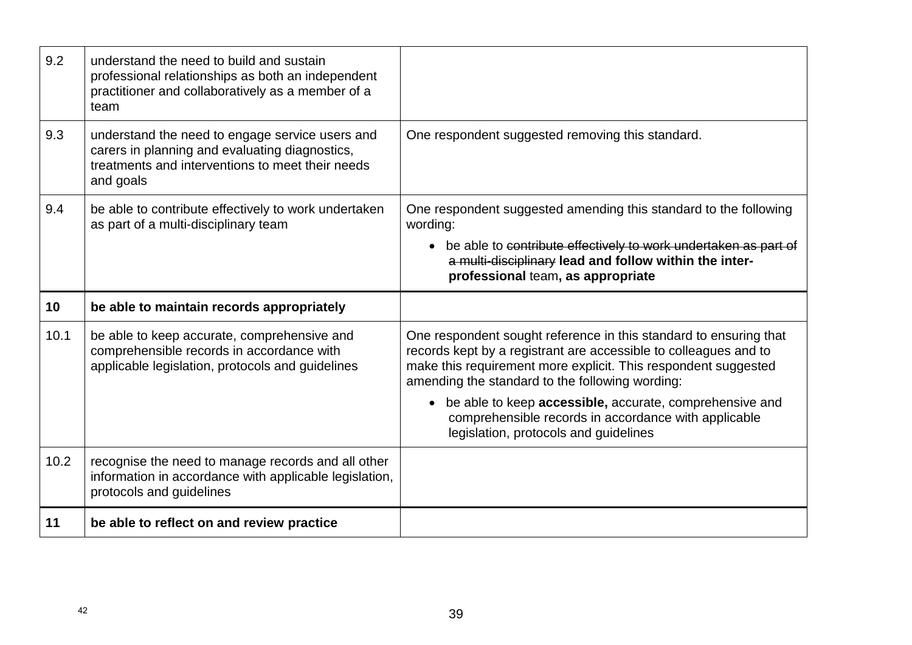| 9.2  | understand the need to build and sustain<br>professional relationships as both an independent<br>practitioner and collaboratively as a member of a<br>team         |                                                                                                                                                                                                                                                            |
|------|--------------------------------------------------------------------------------------------------------------------------------------------------------------------|------------------------------------------------------------------------------------------------------------------------------------------------------------------------------------------------------------------------------------------------------------|
| 9.3  | understand the need to engage service users and<br>carers in planning and evaluating diagnostics,<br>treatments and interventions to meet their needs<br>and goals | One respondent suggested removing this standard.                                                                                                                                                                                                           |
| 9.4  | be able to contribute effectively to work undertaken<br>as part of a multi-disciplinary team                                                                       | One respondent suggested amending this standard to the following<br>wording:                                                                                                                                                                               |
|      |                                                                                                                                                                    | • be able to contribute effectively to work undertaken as part of<br>a multi-disciplinary lead and follow within the inter-<br>professional team, as appropriate                                                                                           |
|      |                                                                                                                                                                    |                                                                                                                                                                                                                                                            |
| 10   | be able to maintain records appropriately                                                                                                                          |                                                                                                                                                                                                                                                            |
| 10.1 | be able to keep accurate, comprehensive and<br>comprehensible records in accordance with<br>applicable legislation, protocols and guidelines                       | One respondent sought reference in this standard to ensuring that<br>records kept by a registrant are accessible to colleagues and to<br>make this requirement more explicit. This respondent suggested<br>amending the standard to the following wording: |
|      |                                                                                                                                                                    | be able to keep accessible, accurate, comprehensive and<br>$\bullet$<br>comprehensible records in accordance with applicable<br>legislation, protocols and guidelines                                                                                      |
| 10.2 | recognise the need to manage records and all other<br>information in accordance with applicable legislation,<br>protocols and guidelines                           |                                                                                                                                                                                                                                                            |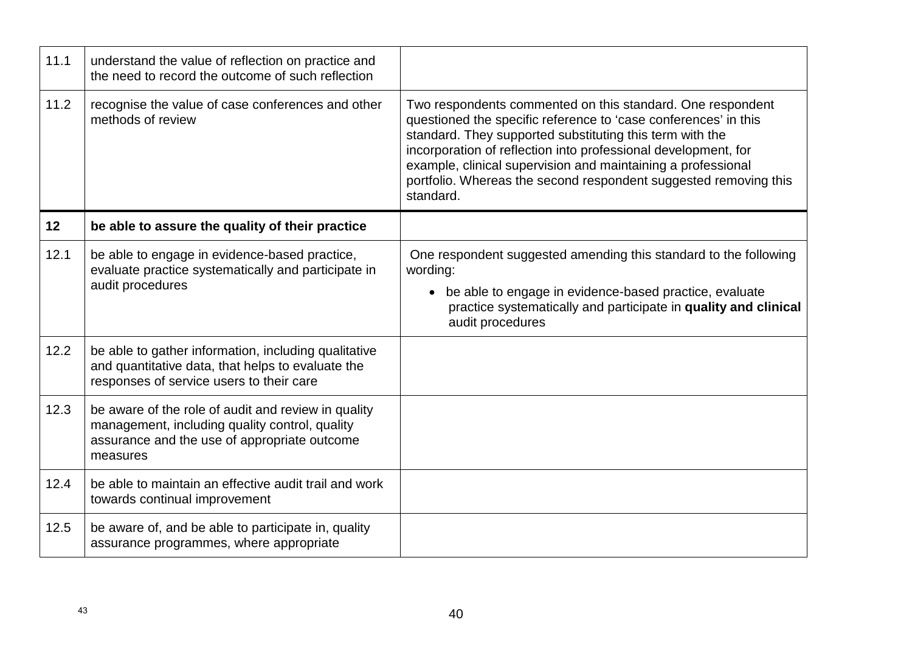| 11.1 | understand the value of reflection on practice and<br>the need to record the outcome of such reflection                                                           |                                                                                                                                                                                                                                                                                                                                                                                                              |
|------|-------------------------------------------------------------------------------------------------------------------------------------------------------------------|--------------------------------------------------------------------------------------------------------------------------------------------------------------------------------------------------------------------------------------------------------------------------------------------------------------------------------------------------------------------------------------------------------------|
| 11.2 | recognise the value of case conferences and other<br>methods of review                                                                                            | Two respondents commented on this standard. One respondent<br>questioned the specific reference to 'case conferences' in this<br>standard. They supported substituting this term with the<br>incorporation of reflection into professional development, for<br>example, clinical supervision and maintaining a professional<br>portfolio. Whereas the second respondent suggested removing this<br>standard. |
| 12   | be able to assure the quality of their practice                                                                                                                   |                                                                                                                                                                                                                                                                                                                                                                                                              |
| 12.1 | be able to engage in evidence-based practice,<br>evaluate practice systematically and participate in<br>audit procedures                                          | One respondent suggested amending this standard to the following<br>wording:<br>• be able to engage in evidence-based practice, evaluate<br>practice systematically and participate in quality and clinical<br>audit procedures                                                                                                                                                                              |
| 12.2 | be able to gather information, including qualitative<br>and quantitative data, that helps to evaluate the<br>responses of service users to their care             |                                                                                                                                                                                                                                                                                                                                                                                                              |
| 12.3 | be aware of the role of audit and review in quality<br>management, including quality control, quality<br>assurance and the use of appropriate outcome<br>measures |                                                                                                                                                                                                                                                                                                                                                                                                              |
| 12.4 | be able to maintain an effective audit trail and work<br>towards continual improvement                                                                            |                                                                                                                                                                                                                                                                                                                                                                                                              |
| 12.5 | be aware of, and be able to participate in, quality<br>assurance programmes, where appropriate                                                                    |                                                                                                                                                                                                                                                                                                                                                                                                              |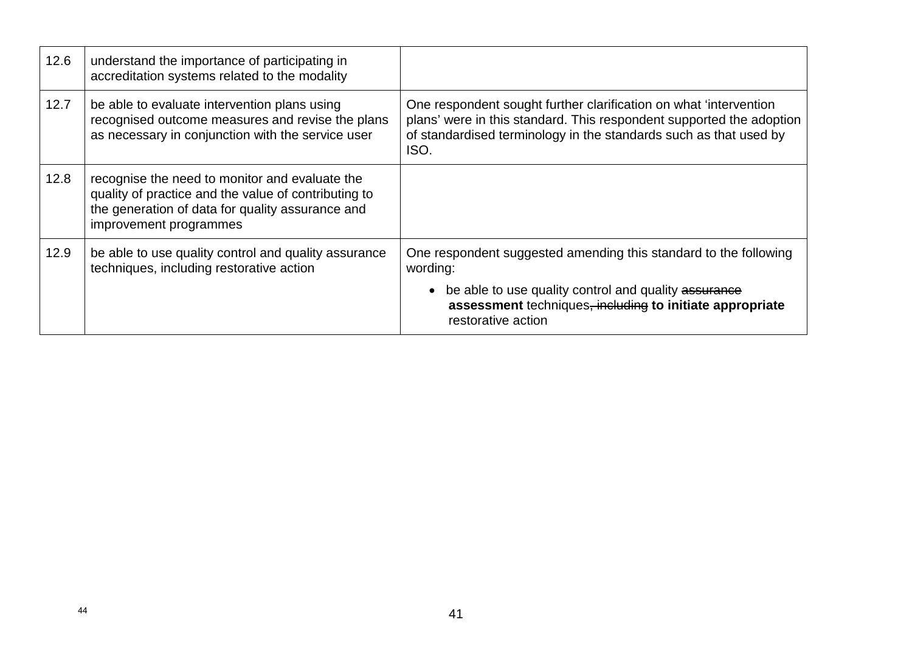| 12.6 | understand the importance of participating in<br>accreditation systems related to the modality                                                                                       |                                                                                                                                                                                                                         |
|------|--------------------------------------------------------------------------------------------------------------------------------------------------------------------------------------|-------------------------------------------------------------------------------------------------------------------------------------------------------------------------------------------------------------------------|
| 12.7 | be able to evaluate intervention plans using<br>recognised outcome measures and revise the plans<br>as necessary in conjunction with the service user                                | One respondent sought further clarification on what 'intervention'<br>plans' were in this standard. This respondent supported the adoption<br>of standardised terminology in the standards such as that used by<br>ISO. |
| 12.8 | recognise the need to monitor and evaluate the<br>quality of practice and the value of contributing to<br>the generation of data for quality assurance and<br>improvement programmes |                                                                                                                                                                                                                         |
| 12.9 | be able to use quality control and quality assurance<br>techniques, including restorative action                                                                                     | One respondent suggested amending this standard to the following<br>wording:                                                                                                                                            |
|      |                                                                                                                                                                                      | be able to use quality control and quality assurance<br>assessment techniques, including to initiate appropriate<br>restorative action                                                                                  |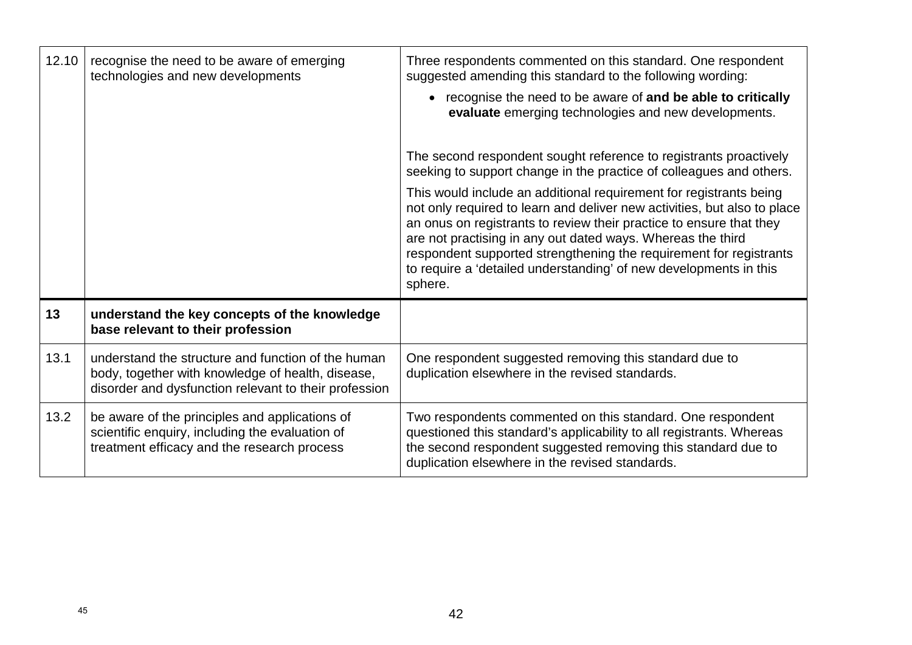| 12.10 | recognise the need to be aware of emerging<br>technologies and new developments                                                                                  | Three respondents commented on this standard. One respondent<br>suggested amending this standard to the following wording:<br>• recognise the need to be aware of and be able to critically<br>evaluate emerging technologies and new developments.                                                                                                                                                                                        |
|-------|------------------------------------------------------------------------------------------------------------------------------------------------------------------|--------------------------------------------------------------------------------------------------------------------------------------------------------------------------------------------------------------------------------------------------------------------------------------------------------------------------------------------------------------------------------------------------------------------------------------------|
|       |                                                                                                                                                                  | The second respondent sought reference to registrants proactively<br>seeking to support change in the practice of colleagues and others.                                                                                                                                                                                                                                                                                                   |
|       |                                                                                                                                                                  | This would include an additional requirement for registrants being<br>not only required to learn and deliver new activities, but also to place<br>an onus on registrants to review their practice to ensure that they<br>are not practising in any out dated ways. Whereas the third<br>respondent supported strengthening the requirement for registrants<br>to require a 'detailed understanding' of new developments in this<br>sphere. |
| 13    | understand the key concepts of the knowledge<br>base relevant to their profession                                                                                |                                                                                                                                                                                                                                                                                                                                                                                                                                            |
| 13.1  | understand the structure and function of the human<br>body, together with knowledge of health, disease,<br>disorder and dysfunction relevant to their profession | One respondent suggested removing this standard due to<br>duplication elsewhere in the revised standards.                                                                                                                                                                                                                                                                                                                                  |
| 13.2  | be aware of the principles and applications of<br>scientific enquiry, including the evaluation of<br>treatment efficacy and the research process                 | Two respondents commented on this standard. One respondent<br>questioned this standard's applicability to all registrants. Whereas<br>the second respondent suggested removing this standard due to<br>duplication elsewhere in the revised standards.                                                                                                                                                                                     |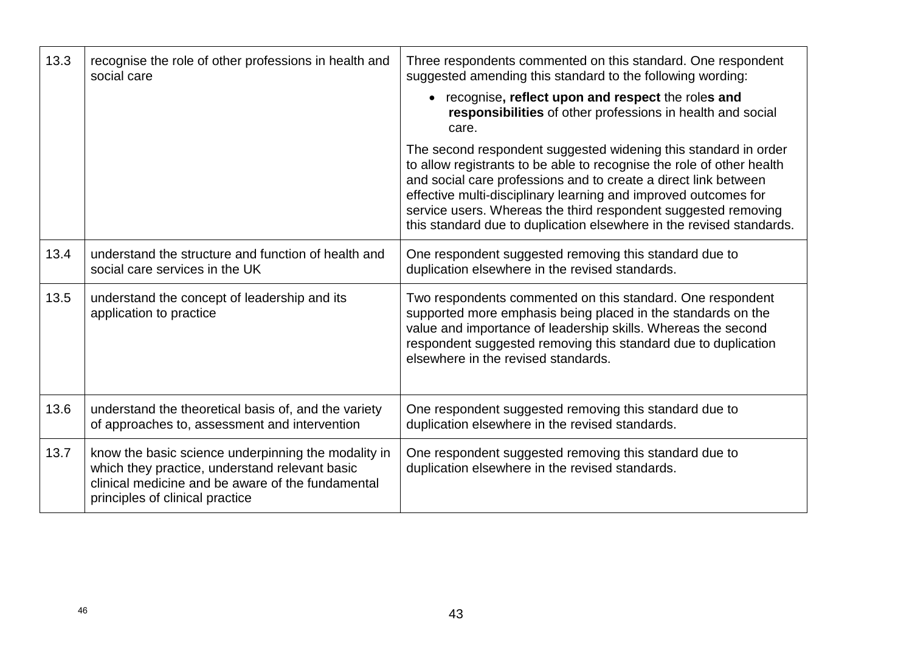| 13.3 | recognise the role of other professions in health and<br>social care                                                                                                                          | Three respondents commented on this standard. One respondent<br>suggested amending this standard to the following wording:<br>• recognise, reflect upon and respect the roles and<br>responsibilities of other professions in health and social<br>care.                                                                                                                                                                 |
|------|-----------------------------------------------------------------------------------------------------------------------------------------------------------------------------------------------|--------------------------------------------------------------------------------------------------------------------------------------------------------------------------------------------------------------------------------------------------------------------------------------------------------------------------------------------------------------------------------------------------------------------------|
|      |                                                                                                                                                                                               | The second respondent suggested widening this standard in order<br>to allow registrants to be able to recognise the role of other health<br>and social care professions and to create a direct link between<br>effective multi-disciplinary learning and improved outcomes for<br>service users. Whereas the third respondent suggested removing<br>this standard due to duplication elsewhere in the revised standards. |
| 13.4 | understand the structure and function of health and<br>social care services in the UK                                                                                                         | One respondent suggested removing this standard due to<br>duplication elsewhere in the revised standards.                                                                                                                                                                                                                                                                                                                |
| 13.5 | understand the concept of leadership and its<br>application to practice                                                                                                                       | Two respondents commented on this standard. One respondent<br>supported more emphasis being placed in the standards on the<br>value and importance of leadership skills. Whereas the second<br>respondent suggested removing this standard due to duplication<br>elsewhere in the revised standards.                                                                                                                     |
| 13.6 | understand the theoretical basis of, and the variety<br>of approaches to, assessment and intervention                                                                                         | One respondent suggested removing this standard due to<br>duplication elsewhere in the revised standards.                                                                                                                                                                                                                                                                                                                |
| 13.7 | know the basic science underpinning the modality in<br>which they practice, understand relevant basic<br>clinical medicine and be aware of the fundamental<br>principles of clinical practice | One respondent suggested removing this standard due to<br>duplication elsewhere in the revised standards.                                                                                                                                                                                                                                                                                                                |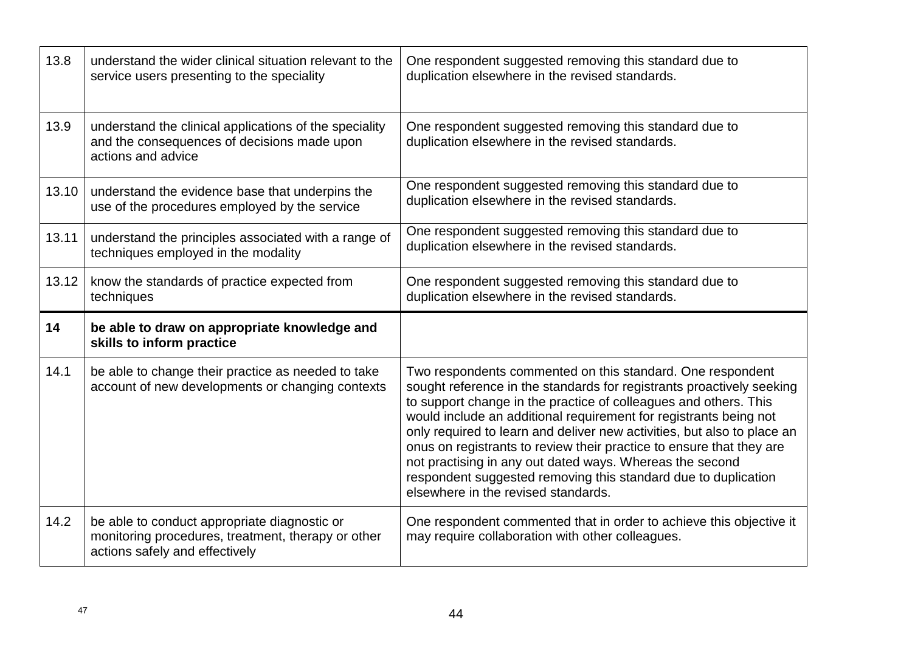| 13.8  | understand the wider clinical situation relevant to the<br>service users presenting to the speciality                       | One respondent suggested removing this standard due to<br>duplication elsewhere in the revised standards.                                                                                                                                                                                                                                                                                                                                                                                                                                                                                            |
|-------|-----------------------------------------------------------------------------------------------------------------------------|------------------------------------------------------------------------------------------------------------------------------------------------------------------------------------------------------------------------------------------------------------------------------------------------------------------------------------------------------------------------------------------------------------------------------------------------------------------------------------------------------------------------------------------------------------------------------------------------------|
| 13.9  | understand the clinical applications of the speciality<br>and the consequences of decisions made upon<br>actions and advice | One respondent suggested removing this standard due to<br>duplication elsewhere in the revised standards.                                                                                                                                                                                                                                                                                                                                                                                                                                                                                            |
| 13.10 | understand the evidence base that underpins the<br>use of the procedures employed by the service                            | One respondent suggested removing this standard due to<br>duplication elsewhere in the revised standards.                                                                                                                                                                                                                                                                                                                                                                                                                                                                                            |
| 13.11 | understand the principles associated with a range of<br>techniques employed in the modality                                 | One respondent suggested removing this standard due to<br>duplication elsewhere in the revised standards.                                                                                                                                                                                                                                                                                                                                                                                                                                                                                            |
| 13.12 | know the standards of practice expected from<br>techniques                                                                  | One respondent suggested removing this standard due to<br>duplication elsewhere in the revised standards.                                                                                                                                                                                                                                                                                                                                                                                                                                                                                            |
|       |                                                                                                                             |                                                                                                                                                                                                                                                                                                                                                                                                                                                                                                                                                                                                      |
| 14    | be able to draw on appropriate knowledge and<br>skills to inform practice                                                   |                                                                                                                                                                                                                                                                                                                                                                                                                                                                                                                                                                                                      |
| 14.1  | be able to change their practice as needed to take<br>account of new developments or changing contexts                      | Two respondents commented on this standard. One respondent<br>sought reference in the standards for registrants proactively seeking<br>to support change in the practice of colleagues and others. This<br>would include an additional requirement for registrants being not<br>only required to learn and deliver new activities, but also to place an<br>onus on registrants to review their practice to ensure that they are<br>not practising in any out dated ways. Whereas the second<br>respondent suggested removing this standard due to duplication<br>elsewhere in the revised standards. |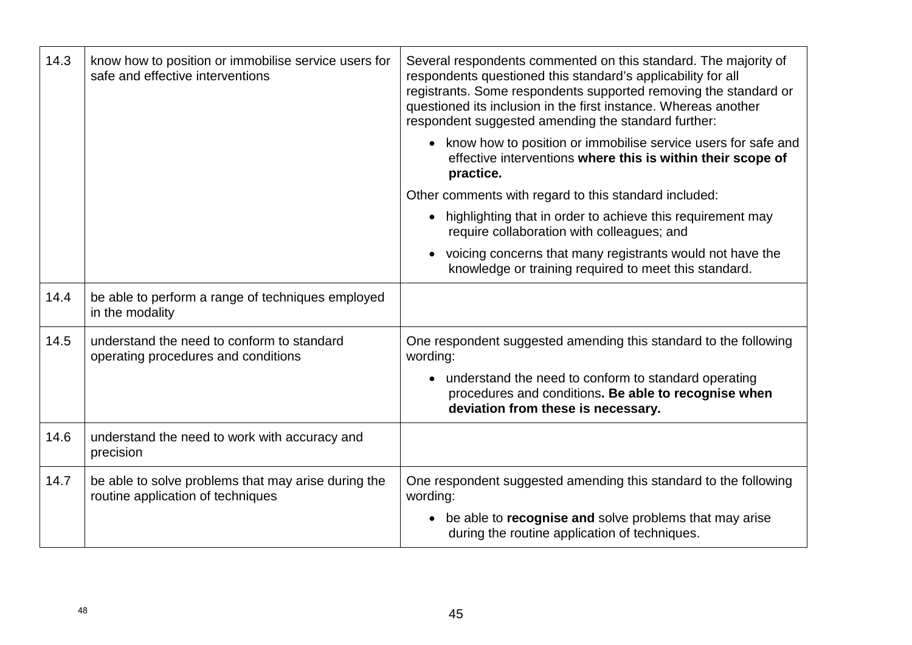| 14.3 | know how to position or immobilise service users for<br>safe and effective interventions | Several respondents commented on this standard. The majority of<br>respondents questioned this standard's applicability for all<br>registrants. Some respondents supported removing the standard or<br>questioned its inclusion in the first instance. Whereas another<br>respondent suggested amending the standard further: |
|------|------------------------------------------------------------------------------------------|-------------------------------------------------------------------------------------------------------------------------------------------------------------------------------------------------------------------------------------------------------------------------------------------------------------------------------|
|      |                                                                                          | • know how to position or immobilise service users for safe and<br>effective interventions where this is within their scope of<br>practice.                                                                                                                                                                                   |
|      |                                                                                          | Other comments with regard to this standard included:                                                                                                                                                                                                                                                                         |
|      |                                                                                          | highlighting that in order to achieve this requirement may<br>require collaboration with colleagues; and                                                                                                                                                                                                                      |
|      |                                                                                          | • voicing concerns that many registrants would not have the<br>knowledge or training required to meet this standard.                                                                                                                                                                                                          |
| 14.4 | be able to perform a range of techniques employed<br>in the modality                     |                                                                                                                                                                                                                                                                                                                               |
| 14.5 | understand the need to conform to standard<br>operating procedures and conditions        | One respondent suggested amending this standard to the following<br>wording:                                                                                                                                                                                                                                                  |
|      |                                                                                          | • understand the need to conform to standard operating<br>procedures and conditions. Be able to recognise when<br>deviation from these is necessary.                                                                                                                                                                          |
| 14.6 | understand the need to work with accuracy and<br>precision                               |                                                                                                                                                                                                                                                                                                                               |
| 14.7 | be able to solve problems that may arise during the<br>routine application of techniques | One respondent suggested amending this standard to the following<br>wording:                                                                                                                                                                                                                                                  |
|      |                                                                                          | • be able to recognise and solve problems that may arise<br>during the routine application of techniques.                                                                                                                                                                                                                     |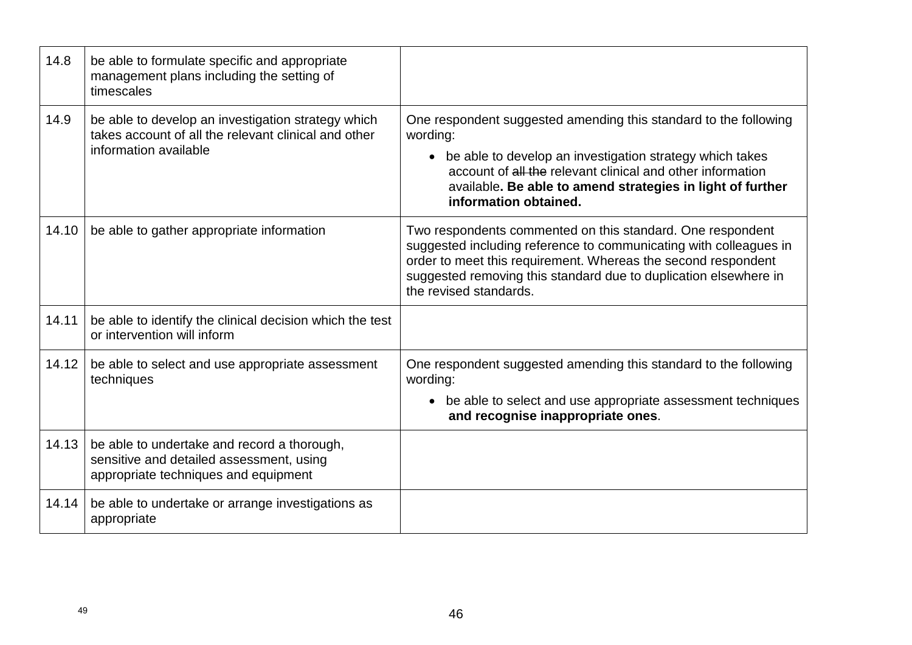| 14.8  | be able to formulate specific and appropriate<br>management plans including the setting of<br>timescales                            |                                                                                                                                                                                                                                                                                                 |
|-------|-------------------------------------------------------------------------------------------------------------------------------------|-------------------------------------------------------------------------------------------------------------------------------------------------------------------------------------------------------------------------------------------------------------------------------------------------|
| 14.9  | be able to develop an investigation strategy which<br>takes account of all the relevant clinical and other<br>information available | One respondent suggested amending this standard to the following<br>wording:<br>• be able to develop an investigation strategy which takes<br>account of all the relevant clinical and other information<br>available. Be able to amend strategies in light of further<br>information obtained. |
| 14.10 | be able to gather appropriate information                                                                                           | Two respondents commented on this standard. One respondent<br>suggested including reference to communicating with colleagues in<br>order to meet this requirement. Whereas the second respondent<br>suggested removing this standard due to duplication elsewhere in<br>the revised standards.  |
| 14.11 | be able to identify the clinical decision which the test<br>or intervention will inform                                             |                                                                                                                                                                                                                                                                                                 |
| 14.12 | be able to select and use appropriate assessment<br>techniques                                                                      | One respondent suggested amending this standard to the following<br>wording:<br>• be able to select and use appropriate assessment techniques<br>and recognise inappropriate ones.                                                                                                              |
| 14.13 | be able to undertake and record a thorough,<br>sensitive and detailed assessment, using<br>appropriate techniques and equipment     |                                                                                                                                                                                                                                                                                                 |
| 14.14 | be able to undertake or arrange investigations as<br>appropriate                                                                    |                                                                                                                                                                                                                                                                                                 |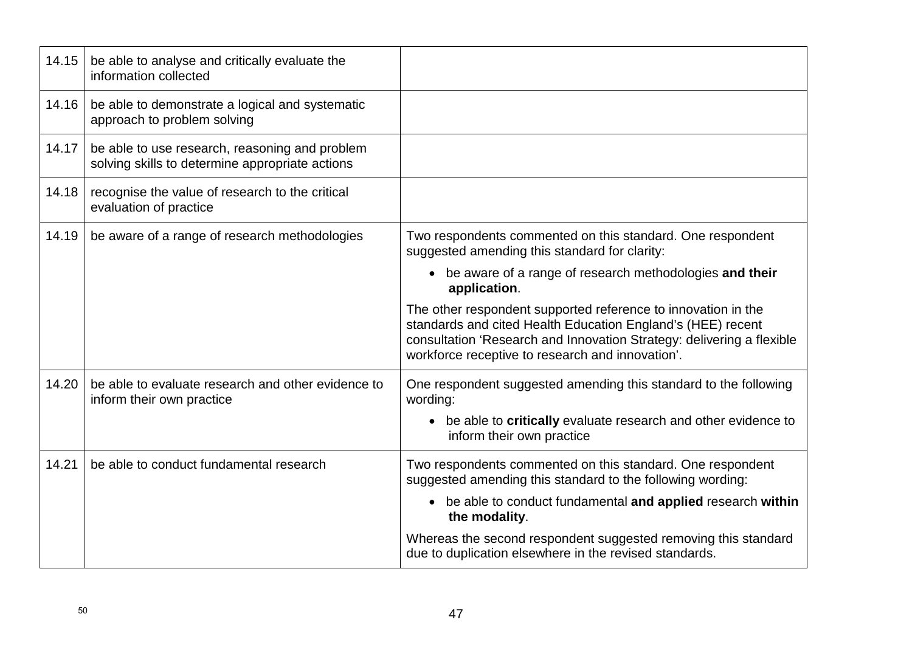| 14.15 | be able to analyse and critically evaluate the<br>information collected                           |                                                                                                                                                                                                                                                           |
|-------|---------------------------------------------------------------------------------------------------|-----------------------------------------------------------------------------------------------------------------------------------------------------------------------------------------------------------------------------------------------------------|
| 14.16 | be able to demonstrate a logical and systematic<br>approach to problem solving                    |                                                                                                                                                                                                                                                           |
| 14.17 | be able to use research, reasoning and problem<br>solving skills to determine appropriate actions |                                                                                                                                                                                                                                                           |
| 14.18 | recognise the value of research to the critical<br>evaluation of practice                         |                                                                                                                                                                                                                                                           |
| 14.19 | be aware of a range of research methodologies                                                     | Two respondents commented on this standard. One respondent<br>suggested amending this standard for clarity:                                                                                                                                               |
|       |                                                                                                   | • be aware of a range of research methodologies and their<br>application.                                                                                                                                                                                 |
|       |                                                                                                   | The other respondent supported reference to innovation in the<br>standards and cited Health Education England's (HEE) recent<br>consultation 'Research and Innovation Strategy: delivering a flexible<br>workforce receptive to research and innovation'. |
| 14.20 | be able to evaluate research and other evidence to<br>inform their own practice                   | One respondent suggested amending this standard to the following<br>wording:                                                                                                                                                                              |
|       |                                                                                                   | • be able to critically evaluate research and other evidence to<br>inform their own practice                                                                                                                                                              |
| 14.21 | be able to conduct fundamental research                                                           | Two respondents commented on this standard. One respondent<br>suggested amending this standard to the following wording:                                                                                                                                  |
|       |                                                                                                   | • be able to conduct fundamental and applied research within<br>the modality.                                                                                                                                                                             |
|       |                                                                                                   | Whereas the second respondent suggested removing this standard<br>due to duplication elsewhere in the revised standards.                                                                                                                                  |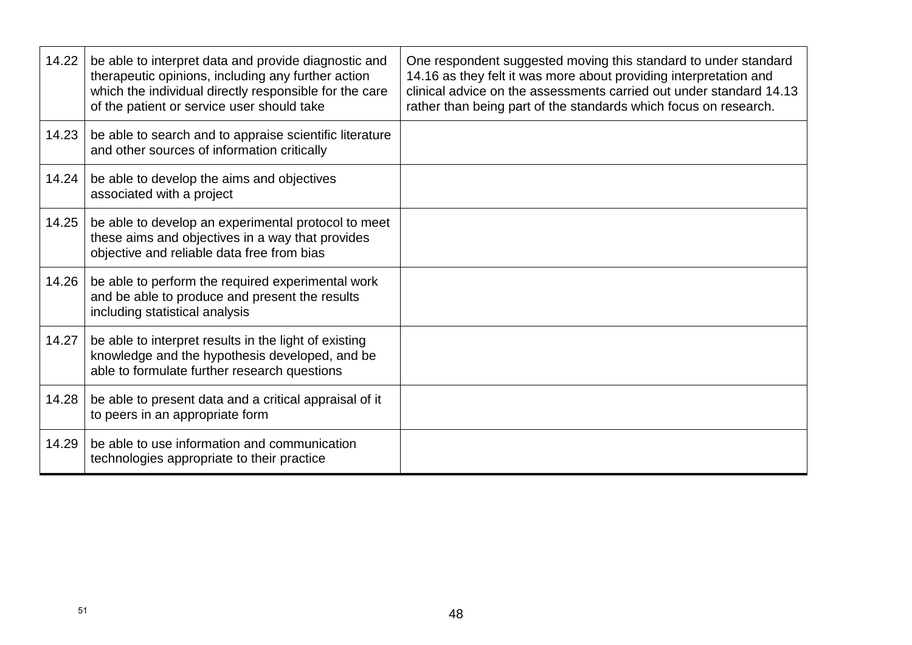| 14.22 | be able to interpret data and provide diagnostic and<br>therapeutic opinions, including any further action<br>which the individual directly responsible for the care<br>of the patient or service user should take | One respondent suggested moving this standard to under standard<br>14.16 as they felt it was more about providing interpretation and<br>clinical advice on the assessments carried out under standard 14.13<br>rather than being part of the standards which focus on research. |
|-------|--------------------------------------------------------------------------------------------------------------------------------------------------------------------------------------------------------------------|---------------------------------------------------------------------------------------------------------------------------------------------------------------------------------------------------------------------------------------------------------------------------------|
| 14.23 | be able to search and to appraise scientific literature<br>and other sources of information critically                                                                                                             |                                                                                                                                                                                                                                                                                 |
| 14.24 | be able to develop the aims and objectives<br>associated with a project                                                                                                                                            |                                                                                                                                                                                                                                                                                 |
| 14.25 | be able to develop an experimental protocol to meet<br>these aims and objectives in a way that provides<br>objective and reliable data free from bias                                                              |                                                                                                                                                                                                                                                                                 |
| 14.26 | be able to perform the required experimental work<br>and be able to produce and present the results<br>including statistical analysis                                                                              |                                                                                                                                                                                                                                                                                 |
| 14.27 | be able to interpret results in the light of existing<br>knowledge and the hypothesis developed, and be<br>able to formulate further research questions                                                            |                                                                                                                                                                                                                                                                                 |
| 14.28 | be able to present data and a critical appraisal of it<br>to peers in an appropriate form                                                                                                                          |                                                                                                                                                                                                                                                                                 |
| 14.29 | be able to use information and communication<br>technologies appropriate to their practice                                                                                                                         |                                                                                                                                                                                                                                                                                 |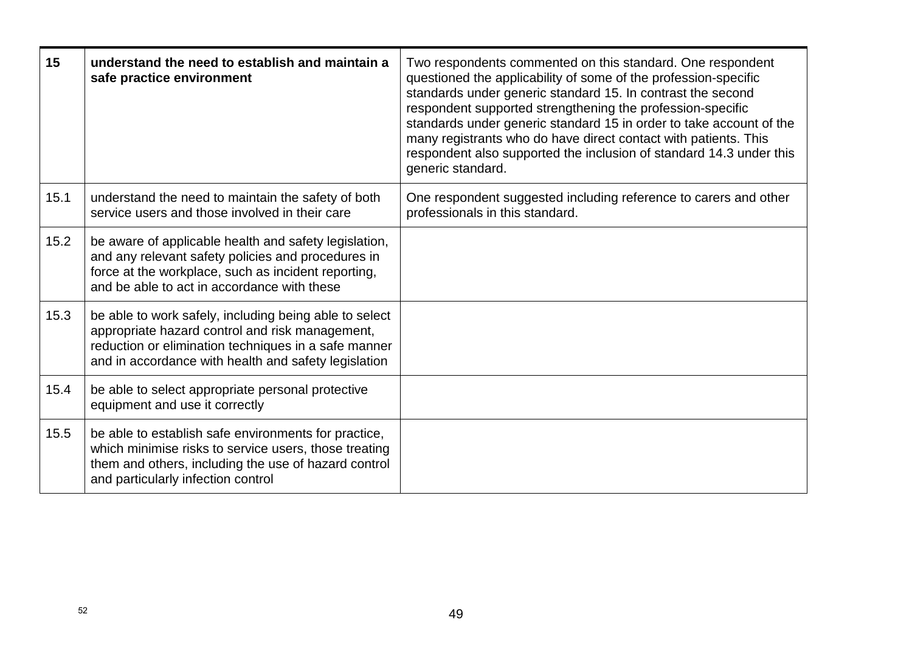| 15   | understand the need to establish and maintain a<br>safe practice environment                                                                                                                                              | Two respondents commented on this standard. One respondent<br>questioned the applicability of some of the profession-specific<br>standards under generic standard 15. In contrast the second<br>respondent supported strengthening the profession-specific<br>standards under generic standard 15 in order to take account of the<br>many registrants who do have direct contact with patients. This<br>respondent also supported the inclusion of standard 14.3 under this<br>generic standard. |
|------|---------------------------------------------------------------------------------------------------------------------------------------------------------------------------------------------------------------------------|--------------------------------------------------------------------------------------------------------------------------------------------------------------------------------------------------------------------------------------------------------------------------------------------------------------------------------------------------------------------------------------------------------------------------------------------------------------------------------------------------|
| 15.1 | understand the need to maintain the safety of both<br>service users and those involved in their care                                                                                                                      | One respondent suggested including reference to carers and other<br>professionals in this standard.                                                                                                                                                                                                                                                                                                                                                                                              |
| 15.2 | be aware of applicable health and safety legislation,<br>and any relevant safety policies and procedures in<br>force at the workplace, such as incident reporting,<br>and be able to act in accordance with these         |                                                                                                                                                                                                                                                                                                                                                                                                                                                                                                  |
| 15.3 | be able to work safely, including being able to select<br>appropriate hazard control and risk management,<br>reduction or elimination techniques in a safe manner<br>and in accordance with health and safety legislation |                                                                                                                                                                                                                                                                                                                                                                                                                                                                                                  |
| 15.4 | be able to select appropriate personal protective<br>equipment and use it correctly                                                                                                                                       |                                                                                                                                                                                                                                                                                                                                                                                                                                                                                                  |
| 15.5 | be able to establish safe environments for practice,<br>which minimise risks to service users, those treating<br>them and others, including the use of hazard control<br>and particularly infection control               |                                                                                                                                                                                                                                                                                                                                                                                                                                                                                                  |